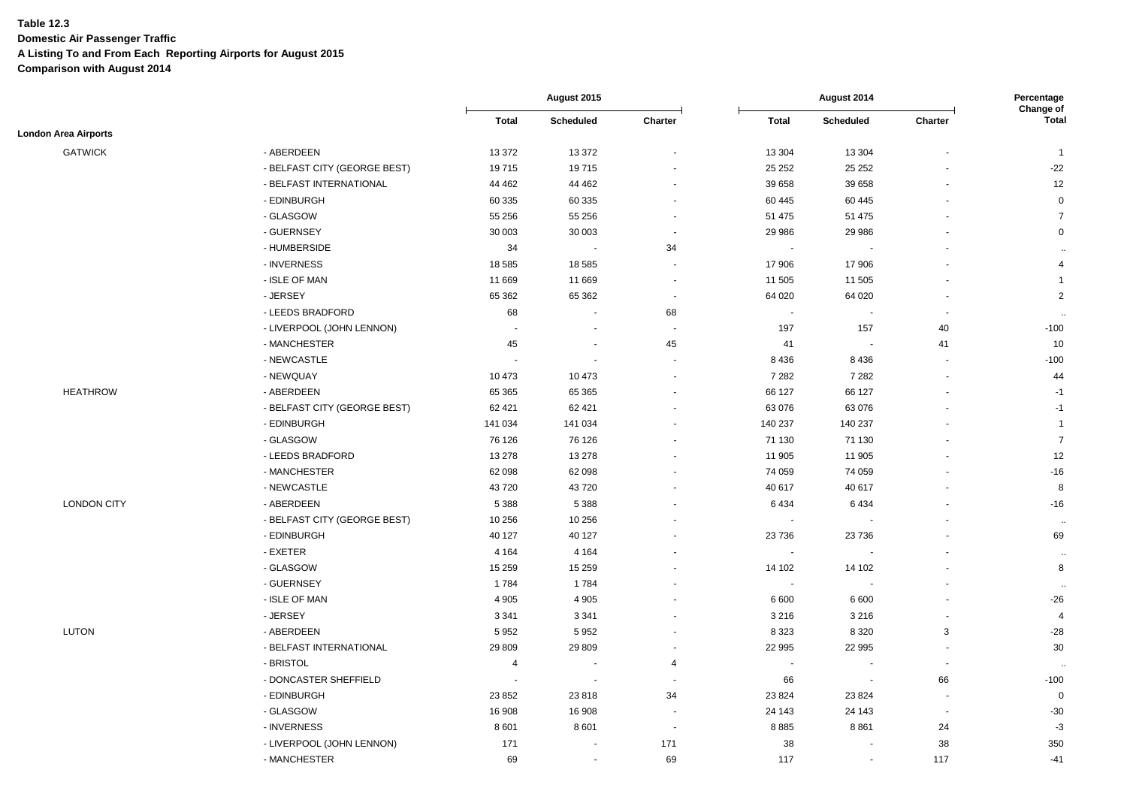**Domestic Air Passenger Traffic**

**A Listing To and From Each Reporting Airports for August 2015**

|                             |                              |                          | August 2015    |                          | August 2014              |           | Percentage<br>Change of  |                |
|-----------------------------|------------------------------|--------------------------|----------------|--------------------------|--------------------------|-----------|--------------------------|----------------|
|                             |                              | <b>Total</b>             | Scheduled      | Charter                  | <b>Total</b>             | Scheduled | Charter                  | <b>Total</b>   |
| <b>London Area Airports</b> |                              |                          |                |                          |                          |           |                          |                |
| <b>GATWICK</b>              | - ABERDEEN                   | 13 372                   | 13 372         | $\overline{\phantom{a}}$ | 13 304                   | 13 304    | $\overline{\phantom{a}}$ | $\overline{1}$ |
|                             | - BELFAST CITY (GEORGE BEST) | 19715                    | 19715          |                          | 25 25 2                  | 25 25 2   |                          | $-22$          |
|                             | - BELFAST INTERNATIONAL      | 44 4 62                  | 44 4 62        |                          | 39 658                   | 39 658    |                          | $12$           |
|                             | - EDINBURGH                  | 60 335                   | 60 335         | $\sim$                   | 60 4 45                  | 60 445    |                          | $\mathbf 0$    |
|                             | - GLASGOW                    | 55 256                   | 55 256         | $\sim$                   | 51 475                   | 51 475    |                          | $\overline{7}$ |
|                             | - GUERNSEY                   | 30 003                   | 30 003         | $\overline{\phantom{a}}$ | 29 986                   | 29 986    |                          | $\mathbf 0$    |
|                             | - HUMBERSIDE                 | 34                       |                | 34                       | $\blacksquare$           |           |                          | $\ddotsc$      |
|                             | - INVERNESS                  | 18 5 85                  | 18 5 85        | $\overline{\phantom{a}}$ | 17 906                   | 17 906    |                          | $\overline{4}$ |
|                             | - ISLE OF MAN                | 11 669                   | 11 669         | $\sim$                   | 11 505                   | 11 505    |                          | $\overline{1}$ |
|                             | - JERSEY                     | 65 362                   | 65 362         | $\overline{\phantom{a}}$ | 64 020                   | 64 0 20   |                          | $\overline{2}$ |
|                             | - LEEDS BRADFORD             | 68                       |                | 68                       | ÷,                       |           | $\overline{\phantom{a}}$ | $\ddotsc$      |
|                             | - LIVERPOOL (JOHN LENNON)    | $\overline{\phantom{a}}$ |                | $\blacksquare$           | 197                      | 157       | 40                       | $-100$         |
|                             | - MANCHESTER                 | 45                       |                | 45                       | 41                       |           | 41                       | $10$           |
|                             | - NEWCASTLE                  | $\sim$                   |                | ÷,                       | 8 4 3 6                  | 8 4 3 6   | ÷,                       | $-100$         |
|                             | - NEWQUAY                    | 10 473                   | 10 473         |                          | 7 2 8 2                  | 7 2 8 2   |                          | 44             |
| <b>HEATHROW</b>             | - ABERDEEN                   | 65 365                   | 65 365         |                          | 66 127                   | 66 127    |                          | $-1$           |
|                             | - BELFAST CITY (GEORGE BEST) | 62 4 21                  | 62 421         |                          | 63 076                   | 63 076    |                          | $-1$           |
|                             | - EDINBURGH                  | 141 034                  | 141 034        |                          | 140 237                  | 140 237   |                          | $\overline{1}$ |
|                             | - GLASGOW                    | 76 126                   | 76 126         |                          | 71 130                   | 71 130    |                          | $\overline{7}$ |
|                             | - LEEDS BRADFORD             | 13 278                   | 13 278         |                          | 11 905                   | 11 905    | $\ddot{\phantom{1}}$     | 12             |
|                             | - MANCHESTER                 | 62 098                   | 62 098         | $\sim$                   | 74 059                   | 74 059    |                          | $-16$          |
|                             | - NEWCASTLE                  | 43720                    | 43720          |                          | 40 617                   | 40 617    |                          | 8              |
| <b>LONDON CITY</b>          | - ABERDEEN                   | 5 3 8 8                  | 5 3 8 8        |                          | 6434                     | 6434      |                          | $-16$          |
|                             | - BELFAST CITY (GEORGE BEST) | 10 256                   | 10 256         |                          | $\overline{\phantom{a}}$ |           |                          | $\ddotsc$      |
|                             | - EDINBURGH                  | 40 127                   | 40 127         |                          | 23736                    | 23 7 36   |                          | 69             |
|                             | - EXETER                     | 4 1 6 4                  | 4 1 6 4        |                          | $\overline{\phantom{a}}$ |           | $\ddot{\phantom{1}}$     | $\sim$         |
|                             | - GLASGOW                    | 15 259                   | 15 259         |                          | 14 102                   | 14 102    |                          | 8              |
|                             | - GUERNSEY                   | 1784                     | 1784           |                          | $\overline{\phantom{a}}$ |           |                          | $\ddotsc$      |
|                             | - ISLE OF MAN                | 4 9 0 5                  | 4 9 0 5        |                          | 6 600                    | 6 600     | $\blacksquare$           | $-26$          |
|                             | - JERSEY                     | 3 3 4 1                  | 3 3 4 1        |                          | 3 2 1 6                  | 3 2 1 6   | ÷,                       | $\overline{4}$ |
| <b>LUTON</b>                | - ABERDEEN                   | 5 9 5 2                  | 5952           | $\blacksquare$           | 8 3 2 3                  | 8 3 2 0   | 3                        | $-28$          |
|                             | - BELFAST INTERNATIONAL      | 29 809                   | 29 809         |                          | 22 995                   | 22 995    |                          | 30             |
|                             | - BRISTOL                    | $\overline{4}$           |                | $\overline{4}$           | $\blacksquare$           |           | $\blacksquare$           |                |
|                             | - DONCASTER SHEFFIELD        | $\blacksquare$           |                | ÷.                       | 66                       |           | 66                       | $-100$         |
|                             | - EDINBURGH                  | 23 852                   | 23818          | 34                       | 23 8 24                  | 23 8 24   | $\sim$                   | $\mathbf 0$    |
|                             | - GLASGOW                    |                          |                | $\blacksquare$           |                          | 24 143    | ÷,                       | $-30$          |
|                             | - INVERNESS                  | 16 908                   | 16 908         | $\blacksquare$           | 24 143<br>8885           |           | 24                       | $-3$           |
|                             |                              | 8601                     | 8601           |                          |                          | 8861      |                          |                |
|                             | - LIVERPOOL (JOHN LENNON)    | 171                      | $\blacksquare$ | 171                      | 38                       |           | 38                       | 350            |
|                             | - MANCHESTER                 | 69                       | $\sim$         | 69                       | 117                      | $\sim$    | 117                      | $-41$          |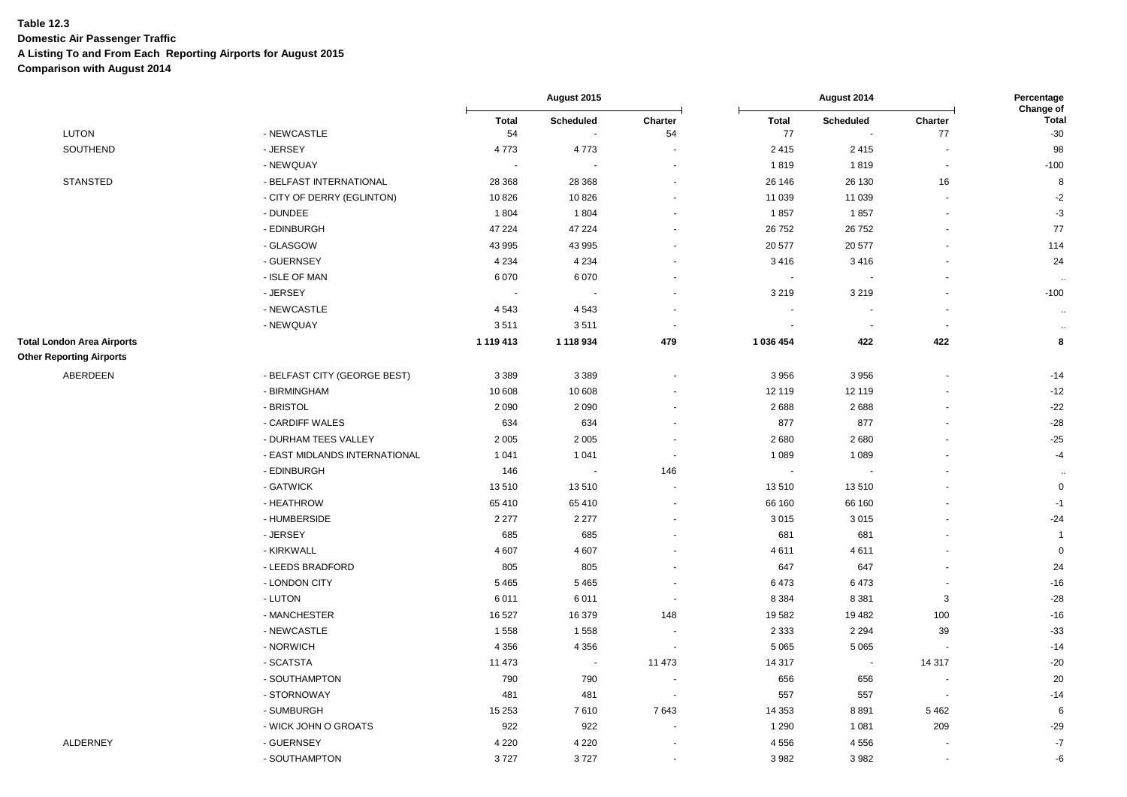**Domestic Air Passenger Traffic**

**A Listing To and From Each Reporting Airports for August 2015**

|                                   |                               |                    | August 2015              |                          |                          | August 2014                 |                          | Percentage                         |
|-----------------------------------|-------------------------------|--------------------|--------------------------|--------------------------|--------------------------|-----------------------------|--------------------------|------------------------------------|
| <b>LUTON</b>                      | - NEWCASTLE                   | <b>Total</b><br>54 | Scheduled<br>÷,          | Charter<br>54            | <b>Total</b><br>77       | Scheduled<br>÷,             | Charter<br>77            | Change of<br><b>Total</b><br>$-30$ |
| SOUTHEND                          | - JERSEY                      | 4773               | 4773                     | $\sim$                   | 2415                     | 2415                        |                          | 98                                 |
|                                   | - NEWQUAY                     | $\sim$             |                          |                          | 1819                     | 1819                        |                          | $-100$                             |
| <b>STANSTED</b>                   | - BELFAST INTERNATIONAL       | 28 3 68            | 28 3 68                  | $\sim$                   | 26 146                   | 26 130                      | 16                       | 8                                  |
|                                   | - CITY OF DERRY (EGLINTON)    | 10826              | 10 826                   |                          | 11 039                   | 11 039                      |                          | $-2$                               |
|                                   | - DUNDEE                      | 1804               | 1804                     |                          | 1857                     | 1857                        |                          | $-3$                               |
|                                   | - EDINBURGH                   | 47 224             | 47 224                   |                          | 26 752                   | 26 752                      |                          | 77                                 |
|                                   | - GLASGOW                     | 43 995             | 43 995                   |                          | 20 577                   | 20 577                      |                          | 114                                |
|                                   |                               |                    |                          |                          | 3416                     |                             |                          |                                    |
|                                   | - GUERNSEY                    | 4 2 3 4            | 4 2 3 4                  |                          |                          | 3416                        |                          | 24                                 |
|                                   | - ISLE OF MAN                 | 6070               | 6 0 7 0                  |                          | $\overline{\phantom{a}}$ | $\overline{\phantom{a}}$    |                          | $\bullet\bullet$                   |
|                                   | - JERSEY                      | $\blacksquare$     |                          |                          | 3 2 1 9                  | 3 2 1 9                     |                          | $-100$                             |
|                                   | - NEWCASTLE                   | 4 5 4 3            | 4543                     |                          |                          | $\overline{\phantom{a}}$    |                          | $\bullet\bullet$                   |
|                                   | - NEWQUAY                     | 3511               | 3511                     | $\sim$                   | $\blacksquare$           | $\sim$                      | $\sim$                   | $\ddotsc$                          |
| <b>Total London Area Airports</b> |                               | 1 119 413          | 1 118 934                | 479                      | 1 036 454                | 422                         | 422                      | 8                                  |
| <b>Other Reporting Airports</b>   |                               |                    |                          |                          |                          |                             |                          |                                    |
| ABERDEEN                          | - BELFAST CITY (GEORGE BEST)  | 3 3 8 9            | 3 3 8 9                  | $\sim$                   | 3 9 5 6                  | 3956                        | $\sim$                   | $-14$                              |
|                                   | - BIRMINGHAM                  | 10 608             | 10 608                   |                          | 12 119                   | 12 119                      |                          | $-12$                              |
|                                   | - BRISTOL                     | 2090               | 2 0 9 0                  |                          | 2688                     | 2688                        |                          | $-22$                              |
|                                   | - CARDIFF WALES               | 634                | 634                      |                          | 877                      | 877                         |                          | $-28$                              |
|                                   | - DURHAM TEES VALLEY          | 2 0 0 5            | 2 0 0 5                  | $\overline{\phantom{a}}$ | 2680                     | 2680                        |                          | $-25$                              |
|                                   | - EAST MIDLANDS INTERNATIONAL | 1 0 4 1            | 1 0 4 1                  |                          | 1 0 8 9                  | 1 0 8 9                     |                          | $-4$                               |
|                                   | - EDINBURGH                   | 146                | $\sim$                   | 146                      | $\overline{\phantom{a}}$ | ٠.                          |                          | $\sim$                             |
|                                   | - GATWICK                     | 13510              | 13510                    |                          | 13510                    | 13510                       |                          | $\pmb{0}$                          |
|                                   | - HEATHROW                    | 65 410             | 65 410                   | $\sim$                   | 66 160                   | 66 160                      |                          | $-1$                               |
|                                   | - HUMBERSIDE                  | 2 2 7 7            | 2 2 7 7                  | $\sim$                   | 3015                     | 3015                        |                          | $-24$                              |
|                                   | - JERSEY                      | 685                | 685                      |                          | 681                      | 681                         |                          | $\overline{1}$                     |
|                                   | - KIRKWALL                    | 4607               | 4 607                    |                          | 4611                     | 4611                        |                          | $\pmb{0}$                          |
|                                   | - LEEDS BRADFORD              | 805                | 805                      |                          | 647                      | 647                         |                          | 24                                 |
|                                   | - LONDON CITY                 | 5 4 6 5            | 5 4 6 5                  |                          | 6473                     | 6473                        | $\overline{\phantom{a}}$ | $-16$                              |
|                                   | - LUTON                       | 6011               | 6011                     |                          | 8 3 8 4                  | 8 3 8 1                     | 3                        | $-28$                              |
|                                   | - MANCHESTER                  | 16 527             | 16 379                   | 148                      | 19582                    | 19482                       | 100                      | $-16$                              |
|                                   | - NEWCASTLE                   | 1558               | 1 5 5 8                  | $\sim$                   | 2 3 3 3                  | 2 2 9 4                     | 39                       | $-33$                              |
|                                   | - NORWICH                     | 4 3 5 6            | 4 3 5 6                  | $\sim$                   | 5 0 6 5                  | 5 0 6 5                     |                          | $-14$                              |
|                                   | - SCATSTA                     | 11 473             | $\overline{\phantom{a}}$ | 11 473                   | 14 317                   | $\mathcal{L}_{\mathcal{A}}$ | 14 317                   | $-20$                              |
|                                   | - SOUTHAMPTON                 | 790                | 790                      |                          | 656                      | 656                         |                          | 20                                 |
|                                   | - STORNOWAY                   | 481                | 481                      |                          | 557                      | 557                         | $\overline{\phantom{a}}$ | $-14$                              |
|                                   | - SUMBURGH                    | 15 253             | 7610                     | 7643                     | 14 3 53                  | 8891                        | 5 4 6 2                  | 6                                  |
|                                   | - WICK JOHN O GROATS          | 922                | 922                      | $\sim$                   | 1 2 9 0                  | 1 0 8 1                     | 209                      | $-29$                              |
| ALDERNEY                          | - GUERNSEY                    | 4 2 2 0            | 4 2 2 0                  |                          | 4556                     | 4 5 5 6                     |                          | $-7$                               |
|                                   | - SOUTHAMPTON                 | 3727               | 3727                     |                          | 3982                     | 3 9 8 2                     | $\overline{\phantom{a}}$ | $-6$                               |
|                                   |                               |                    |                          |                          |                          |                             |                          |                                    |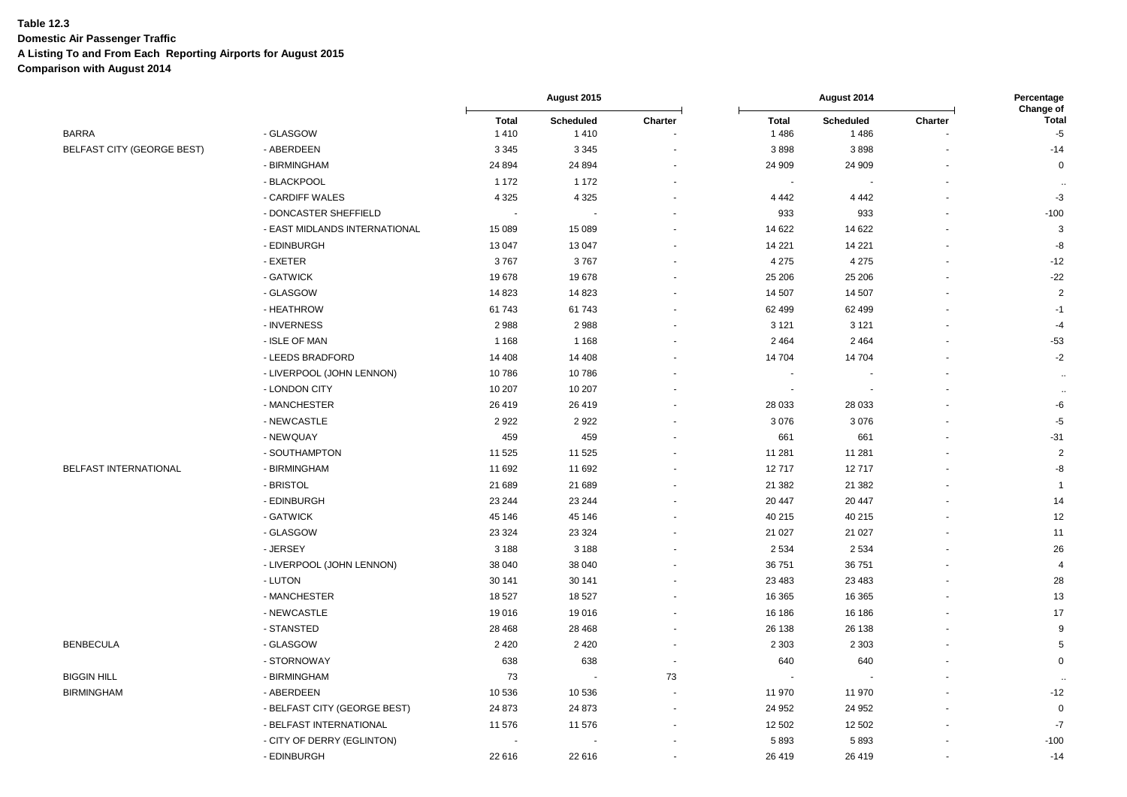## **Table 12.3 Domestic Air Passenger Traffic A Listing To and From Each Reporting Airports for August 2015 Comparison with August 2014**

|                            |                               |              |                          |         |         |                  |         | Change of            |
|----------------------------|-------------------------------|--------------|--------------------------|---------|---------|------------------|---------|----------------------|
|                            |                               | <b>Total</b> | Scheduled                | Charter | Total   | <b>Scheduled</b> | Charter | <b>Total</b>         |
| BARRA                      | - GLASGOW                     | 1410         | 1410                     |         | 1486    | 1486             |         | $-5$                 |
| BELFAST CITY (GEORGE BEST) | - ABERDEEN                    | 3 3 4 5      | 3 3 4 5                  |         | 3898    | 3898             |         | $-14$                |
|                            | - BIRMINGHAM                  | 24 8 94      | 24 894                   |         | 24 909  | 24 909           |         | $\mathbf 0$          |
|                            | - BLACKPOOL                   | 1 1 7 2      | 1 1 7 2                  |         |         |                  |         |                      |
|                            | - CARDIFF WALES               | 4 3 2 5      | 4 3 2 5                  |         | 4 4 4 2 | 4 4 4 2          |         | $-3$                 |
|                            | - DONCASTER SHEFFIELD         |              |                          |         | 933     | 933              |         | $-100$               |
|                            | - EAST MIDLANDS INTERNATIONAL | 15 089       | 15 089                   |         | 14 622  | 14 622           |         | 3                    |
|                            | - EDINBURGH                   | 13 047       | 13 047                   |         | 14 2 21 | 14 2 21          |         | -8                   |
|                            | - EXETER                      | 3767         | 3767                     |         | 4 2 7 5 | 4 2 7 5          |         | $-12$                |
|                            | - GATWICK                     | 19678        | 19678                    |         | 25 20 6 | 25 20 6          |         | $-22$                |
|                            | - GLASGOW                     | 14823        | 14 8 23                  |         | 14 507  | 14 507           |         | $\overline{2}$       |
|                            | - HEATHROW                    | 61743        | 61 743                   |         | 62 499  | 62 499           |         | $-1$                 |
|                            | - INVERNESS                   | 2988         | 2988                     |         | 3 1 2 1 | 3 1 2 1          |         | $-4$                 |
|                            | - ISLE OF MAN                 | 1 1 6 8      | 1 1 6 8                  |         | 2 4 6 4 | 2 4 6 4          |         | $-53$                |
|                            | - LEEDS BRADFORD              | 14 4 08      | 14 4 08                  |         | 14 704  | 14704            |         | $-2$                 |
|                            | - LIVERPOOL (JOHN LENNON)     | 10786        | 10786                    |         |         |                  |         |                      |
|                            | - LONDON CITY                 | 10 207       | 10 207                   |         |         |                  |         | $\ddot{\phantom{a}}$ |
|                            | - MANCHESTER                  | 26 419       | 26 419                   |         | 28 0 33 | 28 0 33          |         | -6                   |
|                            | - NEWCASTLE                   | 2922         | 2922                     |         | 3076    | 3076             |         | $-5$                 |
|                            | - NEWQUAY                     | 459          | 459                      |         | 661     | 661              |         | $-31$                |
|                            | - SOUTHAMPTON                 | 11 525       | 11 525                   |         | 11 281  | 11 281           |         | $\overline{2}$       |
| BELFAST INTERNATIONAL      | - BIRMINGHAM                  | 11 692       | 11 692                   |         | 12717   | 12717            |         | -8                   |
|                            | - BRISTOL                     | 21 689       | 21 689                   |         | 21 382  | 21 382           |         | -1                   |
|                            | - EDINBURGH                   | 23 244       | 23 244                   |         | 20 447  | 20 447           |         | 14                   |
|                            | - GATWICK                     | 45 146       | 45 146                   |         | 40 215  | 40 215           |         | 12                   |
|                            | - GLASGOW                     | 23 3 24      | 23 324                   |         | 21 0 27 | 21 0 27          |         | 11                   |
|                            | - JERSEY                      | 3 1 8 8      | 3 1 8 8                  |         | 2 5 3 4 | 2 5 3 4          |         | 26                   |
|                            | - LIVERPOOL (JOHN LENNON)     | 38 040       | 38 040                   |         | 36 751  | 36751            |         | 4                    |
|                            | - LUTON                       | 30 141       | 30 141                   |         | 23 4 83 | 23 4 83          |         | 28                   |
|                            | - MANCHESTER                  | 18 527       | 18 5 27                  |         | 16 3 65 | 16 365           |         | 13                   |
|                            | - NEWCASTLE                   | 19016        | 19016                    |         | 16 186  | 16 186           |         | 17                   |
|                            | - STANSTED                    | 28 4 68      | 28 4 68                  |         | 26 138  | 26 138           |         | 9                    |
| BENBECULA                  | - GLASGOW                     | 2 4 2 0      | 2 4 2 0                  |         | 2 3 0 3 | 2 3 0 3          |         | 5                    |
|                            | - STORNOWAY                   | 638          | 638                      |         | 640     | 640              |         | $\mathbf 0$          |
| BIGGIN HILL                | - BIRMINGHAM                  | 73           | $\overline{\phantom{a}}$ | 73      |         |                  |         |                      |
| <b>BIRMINGHAM</b>          | - ABERDEEN                    | 10 536       | 10 536                   |         | 11 970  | 11 970           |         | $-12$                |
|                            | - BELFAST CITY (GEORGE BEST)  | 24 873       | 24 873                   |         | 24 952  | 24 952           |         | $\mathbf 0$          |
|                            | - BELFAST INTERNATIONAL       | 11 576       | 11 576                   |         | 12 502  | 12 502           |         | $-7$                 |
|                            | - CITY OF DERRY (EGLINTON)    |              |                          |         | 5893    | 5893             |         | $-100$               |
|                            | - EDINBURGH                   | 22 616       | 22 616                   |         | 26 419  | 26 419           |         | $-14$                |
|                            |                               |              |                          |         |         |                  |         |                      |

**August 2015 August 2014**

**Percentage**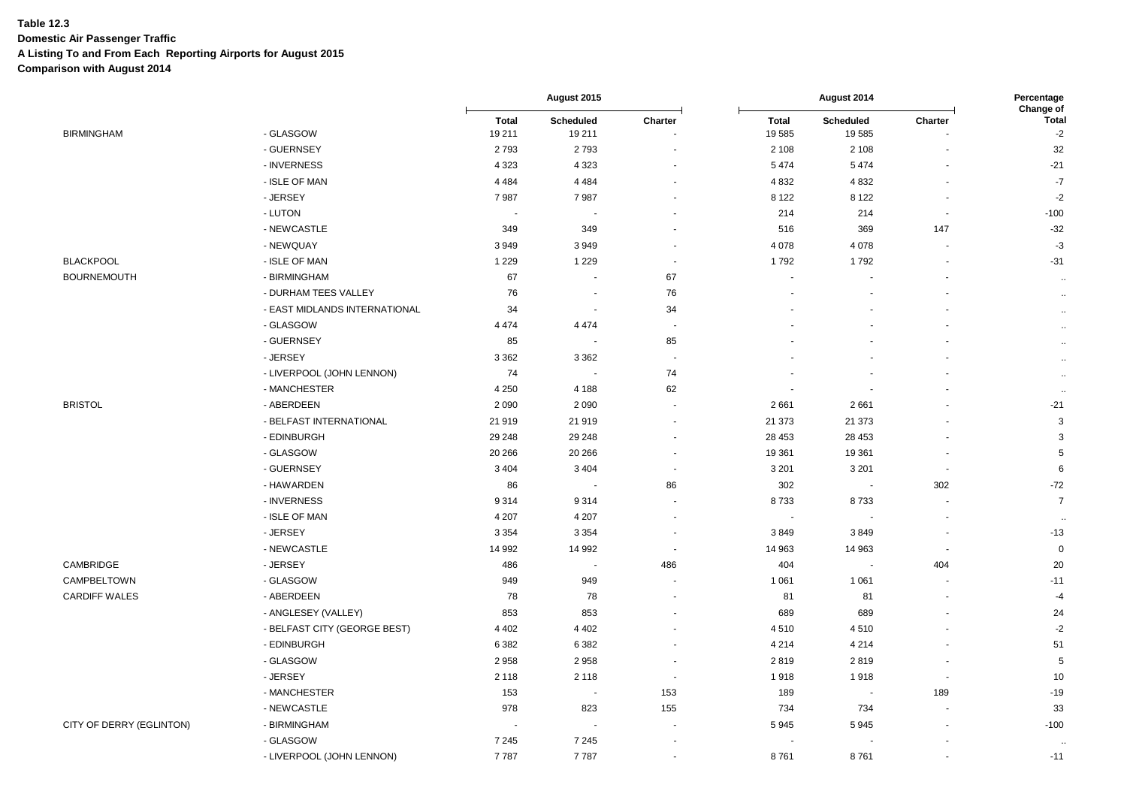### **Table 12.3 Domestic Air Passenger Traffic**

**A Listing To and From Each Reporting Airports for August 2015**

|                          |                               |                        | August 2015              |                          |                       | August 2014              |                          | Percentage<br>Change of |
|--------------------------|-------------------------------|------------------------|--------------------------|--------------------------|-----------------------|--------------------------|--------------------------|-------------------------|
| <b>BIRMINGHAM</b>        | - GLASGOW                     | <b>Total</b><br>19 211 | Scheduled<br>19 211      | Charter                  | <b>Total</b><br>19585 | Scheduled<br>19585       | Charter                  | <b>Total</b><br>$-2$    |
|                          | - GUERNSEY                    | 2793                   | 2793                     |                          | 2 1 0 8               | 2 1 0 8                  |                          | 32                      |
|                          | - INVERNESS                   | 4 3 2 3                | 4 3 2 3                  | $\sim$                   | 5474                  | 5474                     |                          | $-21$                   |
|                          | - ISLE OF MAN                 | 4 4 8 4                | 4 4 8 4                  |                          | 4832                  | 4 8 3 2                  |                          | $-7$                    |
|                          | - JERSEY                      | 7987                   | 7987                     | $\sim$                   | 8 1 2 2               | 8 1 2 2                  |                          | $-2$                    |
|                          | - LUTON                       |                        |                          |                          | 214                   | 214                      |                          | $-100$                  |
|                          | - NEWCASTLE                   | 349                    | 349                      |                          | 516                   | 369                      | 147                      | $-32$                   |
|                          | - NEWQUAY                     | 3949                   | 3949                     | $\sim$                   | 4 0 7 8               | 4 0 7 8                  | $\overline{\phantom{a}}$ | $-3$                    |
| <b>BLACKPOOL</b>         | - ISLE OF MAN                 | 1 2 2 9                | 1 2 2 9                  | $\sim$                   | 1792                  | 1792                     |                          | $-31$                   |
| <b>BOURNEMOUTH</b>       | - BIRMINGHAM                  | 67                     | $\overline{\phantom{a}}$ | 67                       | $\blacksquare$        |                          |                          | $\ddotsc$               |
|                          | - DURHAM TEES VALLEY          | 76                     |                          | 76                       |                       |                          |                          | $\ddotsc$               |
|                          | - EAST MIDLANDS INTERNATIONAL | 34                     | $\overline{\phantom{a}}$ | 34                       |                       |                          |                          | $\ddot{\phantom{a}}$    |
|                          | - GLASGOW                     | 4 4 7 4                | 4 4 7 4                  | $\sim$                   |                       |                          |                          | $\ddotsc$               |
|                          | - GUERNSEY                    | 85                     | $\overline{\phantom{a}}$ | 85                       |                       |                          |                          | $\ddotsc$               |
|                          | - JERSEY                      | 3 3 6 2                | 3 3 6 2                  | $\sim$                   |                       |                          |                          | $\cdot$ .               |
|                          | - LIVERPOOL (JOHN LENNON)     | 74                     | $\overline{\phantom{a}}$ | 74                       |                       |                          |                          | $\ddotsc$               |
|                          | - MANCHESTER                  | 4 2 5 0                | 4 1 8 8                  | 62                       |                       |                          |                          | $\ddotsc$               |
| <b>BRISTOL</b>           | - ABERDEEN                    | 2 0 9 0                | 2 0 9 0                  | $\overline{\phantom{a}}$ | 2661                  | 2661                     |                          | $-21$                   |
|                          | - BELFAST INTERNATIONAL       | 21919                  | 21 919                   | $\overline{a}$           | 21 373                | 21 373                   |                          | 3                       |
|                          | - EDINBURGH                   | 29 248                 | 29 248                   |                          | 28 453                | 28 453                   |                          | $\mathbf{3}$            |
|                          | - GLASGOW                     | 20 26 6                | 20 26 6                  | $\sim$                   | 19 361                | 19 361                   |                          | $\sqrt{5}$              |
|                          | - GUERNSEY                    | 3 4 0 4                | 3 4 0 4                  | $\sim$                   | 3 2 0 1               | 3 2 0 1                  | $\blacksquare$           | 6                       |
|                          | - HAWARDEN                    | 86                     | $\overline{\phantom{a}}$ | 86                       | 302                   | $\overline{\phantom{a}}$ | 302                      | $-72$                   |
|                          | - INVERNESS                   | 9314                   | 9 3 1 4                  | $\sim$                   | 8733                  | 8733                     |                          | $\overline{7}$          |
|                          | - ISLE OF MAN                 | 4 207                  | 4 2 0 7                  | $\sim$                   |                       |                          |                          | $\ddot{\phantom{a}}$    |
|                          | - JERSEY                      | 3 3 5 4                | 3 3 5 4                  |                          | 3849                  | 3849                     |                          | $-13$                   |
|                          | - NEWCASTLE                   | 14 992                 | 14 992                   | $\sim$                   | 14 963                | 14 963                   | $\overline{\phantom{a}}$ | $\mathbf 0$             |
| CAMBRIDGE                | - JERSEY                      | 486                    | $\overline{\phantom{a}}$ | 486                      | 404                   |                          | 404                      | 20                      |
| CAMPBELTOWN              | - GLASGOW                     | 949                    | 949                      |                          | 1 0 6 1               | 1 0 6 1                  |                          | $-11$                   |
| <b>CARDIFF WALES</b>     | - ABERDEEN                    | 78                     | 78                       | $\sim$                   | 81                    | 81                       |                          | $-4$                    |
|                          | - ANGLESEY (VALLEY)           | 853                    | 853                      | $\sim$                   | 689                   | 689                      |                          | 24                      |
|                          | - BELFAST CITY (GEORGE BEST)  | 4 4 0 2                | 4 4 0 2                  |                          | 4510                  | 4510                     |                          | $-2$                    |
|                          | - EDINBURGH                   | 6382                   | 6 3 8 2                  |                          | 4 2 1 4               | 4 2 1 4                  |                          | 51                      |
|                          | - GLASGOW                     | 2958                   | 2958                     | $\sim$                   | 2819                  | 2819                     |                          | $\sqrt{5}$              |
|                          | - JERSEY                      | 2 1 1 8                | 2 1 1 8                  | $\sim$                   | 1918                  | 1918                     | $\blacksquare$           | 10                      |
|                          | - MANCHESTER                  | 153                    | $\overline{\phantom{a}}$ | 153                      | 189                   | $\overline{\phantom{a}}$ | 189                      | $-19$                   |
|                          | - NEWCASTLE                   | 978                    | 823                      | 155                      | 734                   | 734                      |                          | 33                      |
| CITY OF DERRY (EGLINTON) | - BIRMINGHAM                  |                        | $\sim$                   | $\overline{\phantom{a}}$ | 5945                  | 5945                     | $\overline{\phantom{a}}$ | $-100$                  |
|                          | - GLASGOW                     | 7 2 4 5                | 7 2 4 5                  |                          |                       |                          |                          |                         |
|                          | - LIVERPOOL (JOHN LENNON)     | 7787                   | 7787                     |                          | 8761                  | 8761                     |                          | $-11$                   |
|                          |                               |                        |                          |                          |                       |                          |                          |                         |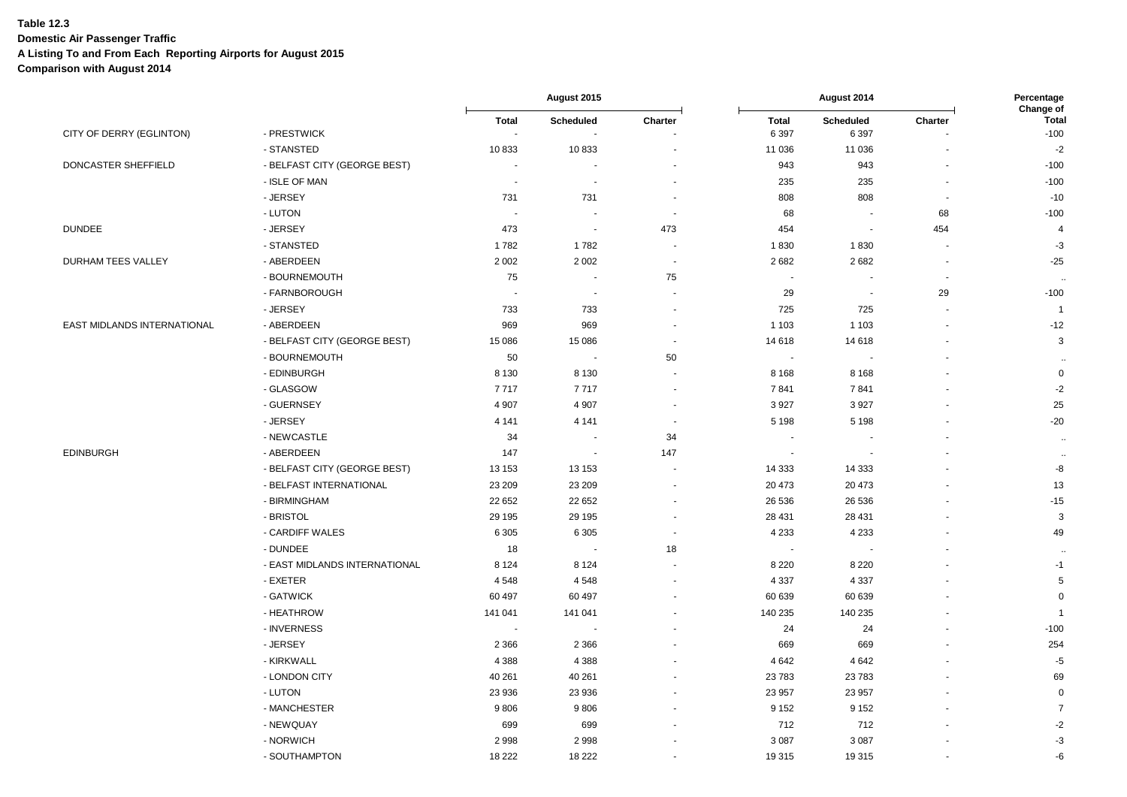# **Table 12.3 Domestic Air Passenger Traffic**

**A Listing To and From Each Reporting Airports for August 2015**

|                             |                               |                                          | August 2015                           |                       |                          | August 2014          |                          | Percentage<br>Change of |
|-----------------------------|-------------------------------|------------------------------------------|---------------------------------------|-----------------------|--------------------------|----------------------|--------------------------|-------------------------|
| CITY OF DERRY (EGLINTON)    | - PRESTWICK                   | <b>Total</b><br>$\overline{\phantom{a}}$ | Scheduled<br>$\overline{\phantom{a}}$ | Charter               | <b>Total</b><br>6 3 9 7  | Scheduled<br>6 3 9 7 | Charter                  | <b>Total</b><br>$-100$  |
|                             | - STANSTED                    | 10833                                    | 10833                                 |                       | 11 0 36                  | 11 036               |                          | $-2$                    |
| DONCASTER SHEFFIELD         | - BELFAST CITY (GEORGE BEST)  | $\sim$                                   |                                       |                       | 943                      | 943                  |                          | $-100$                  |
|                             | - ISLE OF MAN                 | $\sim$                                   | $\sim$                                | $\sim$                | 235                      | 235                  | $\sim$                   | $-100$                  |
|                             | - JERSEY                      | 731                                      | 731                                   | $\blacksquare$        | 808                      | 808                  | $\overline{\phantom{a}}$ | $-10$                   |
|                             | - LUTON                       | $\sim$                                   | $\blacksquare$                        | $\blacksquare$        | 68                       |                      | 68                       | $-100$                  |
| <b>DUNDEE</b>               | - JERSEY                      | 473                                      | $\sim$                                | 473                   | 454                      |                      | 454                      | $\overline{4}$          |
|                             | - STANSTED                    | 1782                                     | 1782                                  | $\sim$                | 1830                     | 1830                 |                          | $-3$                    |
| DURHAM TEES VALLEY          | - ABERDEEN                    | 2 0 0 2                                  | 2 0 0 2                               | $\blacksquare$        | 2682                     | 2682                 | $\sim$                   | $-25$                   |
|                             | - BOURNEMOUTH                 | 75                                       | $\sim$                                | 75                    | $\sim$                   |                      | $\overline{\phantom{a}}$ | $\ddotsc$               |
|                             | - FARNBOROUGH                 |                                          | $\overline{\phantom{a}}$              | ÷,                    | 29                       |                      | 29                       | $-100$                  |
|                             | - JERSEY                      | 733                                      | 733                                   | ä,                    | 725                      | 725                  |                          | $\overline{1}$          |
| EAST MIDLANDS INTERNATIONAL | - ABERDEEN                    | 969                                      | 969                                   | $\blacksquare$        | 1 1 0 3                  | 1 1 0 3              |                          | $-12$                   |
|                             | - BELFAST CITY (GEORGE BEST)  | 15 086                                   | 15 086                                | $\blacksquare$        | 14 6 18                  | 14 618               |                          | 3                       |
|                             | - BOURNEMOUTH                 | 50                                       | $\blacksquare$                        | 50                    | $\blacksquare$           |                      |                          | $\ddotsc$               |
|                             | - EDINBURGH                   | 8 1 3 0                                  | 8 1 3 0                               |                       | 8 1 6 8                  | 8 1 6 8              |                          | $\mathbf 0$             |
|                             | - GLASGOW                     | 7717                                     | 7717                                  | ä,                    | 7841                     | 7841                 |                          | $-2$                    |
|                             | - GUERNSEY                    | 4 9 0 7                                  | 4 9 0 7                               |                       | 3927                     | 3 9 2 7              |                          | 25                      |
|                             | - JERSEY                      | 4 1 4 1                                  | 4 1 4 1                               | $\sim$                | 5 1 9 8                  | 5 1 9 8              |                          | $-20$                   |
|                             | - NEWCASTLE                   | 34                                       | $\overline{\phantom{a}}$              | 34                    |                          |                      |                          | $\bullet\bullet$        |
| <b>EDINBURGH</b>            | - ABERDEEN                    | 147                                      | $\sim$                                | 147                   | $\overline{\phantom{a}}$ |                      |                          | $\ddotsc$               |
|                             | - BELFAST CITY (GEORGE BEST)  | 13 153                                   | 13 153                                | $\blacksquare$        | 14 3 33                  | 14 3 33              |                          | -8                      |
|                             | - BELFAST INTERNATIONAL       | 23 209                                   | 23 209                                | $\sim$                | 20 473                   | 20 473               |                          | 13                      |
|                             | - BIRMINGHAM                  | 22 652                                   | 22 652                                | ä,                    | 26 536                   | 26 536               |                          | $-15$                   |
|                             | - BRISTOL                     | 29 195                                   | 29 195                                | $\blacksquare$        | 28 4 31                  | 28 4 31              |                          | 3                       |
|                             | - CARDIFF WALES               | 6 3 0 5                                  | 6 3 0 5                               | $\tilde{\phantom{a}}$ | 4 2 3 3                  | 4 2 3 3              |                          | 49                      |
|                             | - DUNDEE                      | 18                                       | $\blacksquare$                        | 18                    | $\sim$                   |                      |                          | $\ddot{\phantom{1}}$    |
|                             | - EAST MIDLANDS INTERNATIONAL | 8 1 2 4                                  | 8 1 2 4                               | $\tilde{\phantom{a}}$ | 8 2 2 0                  | 8 2 2 0              |                          | $-1$                    |
|                             | - EXETER                      | 4548                                     | 4548                                  | $\frac{1}{2}$         | 4 3 3 7                  | 4 3 3 7              |                          | 5                       |
|                             | - GATWICK                     | 60 497                                   | 60 497                                | $\overline{a}$        | 60 639                   | 60 639               |                          | $\mathbf 0$             |
|                             | - HEATHROW                    | 141 041                                  | 141 041                               | $\overline{a}$        | 140 235                  | 140 235              |                          | $\mathbf{1}$            |
|                             | - INVERNESS                   | ÷.                                       | $\overline{\phantom{a}}$              | $\ddot{\phantom{1}}$  | 24                       | 24                   |                          | $-100$                  |
|                             | - JERSEY                      | 2 3 6 6                                  | 2 3 6 6                               | $\overline{a}$        | 669                      | 669                  |                          | 254                     |
|                             | - KIRKWALL                    | 4 3 8 8                                  | 4 3 8 8                               | $\overline{a}$        | 4 6 4 2                  | 4 6 4 2              |                          | $-5$                    |
|                             | - LONDON CITY                 | 40 261                                   | 40 261                                | ÷                     | 23 783                   | 23783                |                          | 69                      |
|                             | - LUTON                       | 23 936                                   | 23 936                                |                       | 23 957                   | 23 957               |                          | $\mathbf 0$             |
|                             | - MANCHESTER                  | 9806                                     | 9806                                  |                       | 9 1 5 2                  | 9 1 5 2              |                          | $\overline{7}$          |
|                             | - NEWQUAY                     | 699                                      | 699                                   |                       | 712                      | 712                  |                          | $-2$                    |
|                             | - NORWICH                     | 2998                                     | 2998                                  |                       | 3 0 8 7                  | 3 0 8 7              |                          | $-3$                    |
|                             | - SOUTHAMPTON                 | 18 222                                   | 18 222                                | ÷                     | 19 315                   | 19 315               | $\overline{\phantom{a}}$ | -6                      |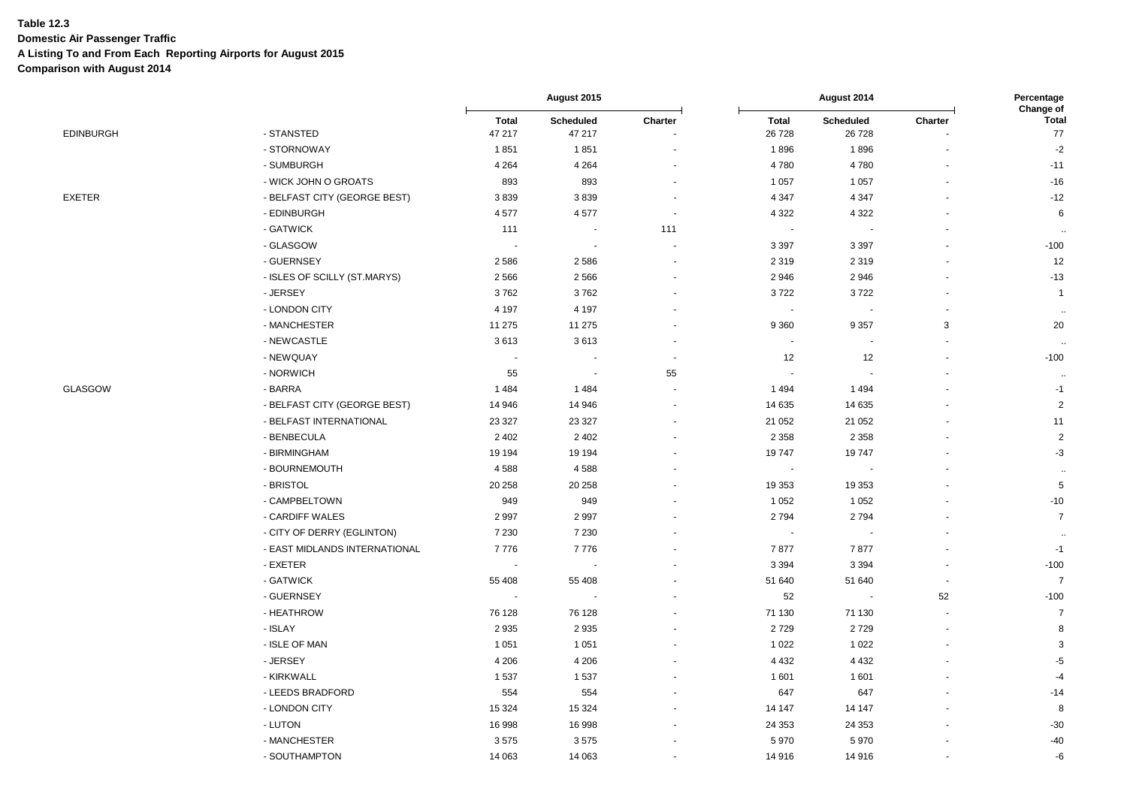**Domestic Air Passenger Traffic**

**A Listing To and From Each Reporting Airports for August 2015**

|                  |                               | August 2015            |                          |                          |                          | August 2014                 |                           |                                        |
|------------------|-------------------------------|------------------------|--------------------------|--------------------------|--------------------------|-----------------------------|---------------------------|----------------------------------------|
| <b>EDINBURGH</b> | - STANSTED                    | <b>Total</b><br>47 217 | Scheduled<br>47 217      | Charter                  | <b>Total</b><br>26 7 28  | <b>Scheduled</b><br>26 7 28 | Charter                   | <b>Change of</b><br><b>Total</b><br>77 |
|                  | - STORNOWAY                   | 1851                   | 1851                     |                          | 1896                     | 1896                        |                           | $-2$                                   |
|                  | - SUMBURGH                    | 4 2 6 4                | 4 2 6 4                  |                          | 4780                     | 4780                        |                           | $-11$                                  |
|                  | - WICK JOHN O GROATS          | 893                    | 893                      |                          | 1 0 5 7                  | 1 0 5 7                     |                           | $-16$                                  |
| <b>EXETER</b>    | - BELFAST CITY (GEORGE BEST)  | 3839                   | 3839                     | $\blacksquare$           | 4 3 4 7                  | 4 3 4 7                     |                           | $-12$                                  |
|                  | - EDINBURGH                   | 4577                   | 4577                     | $\overline{\phantom{a}}$ | 4 3 2 2                  | 4 3 2 2                     | $\sim$                    | 6                                      |
|                  | - GATWICK                     | 111                    | $\blacksquare$           | 111                      |                          |                             |                           | $\ddotsc$                              |
|                  | - GLASGOW                     | $\sim$                 | ÷.                       |                          | 3 3 9 7                  | 3 3 9 7                     |                           | $-100$                                 |
|                  | - GUERNSEY                    | 2586                   | 2586                     |                          | 2 3 1 9                  | 2 3 1 9                     | $\blacksquare$            | 12                                     |
|                  | - ISLES OF SCILLY (ST.MARYS)  | 2566                   | 2566                     |                          | 2946                     | 2946                        |                           | $-13$                                  |
|                  | - JERSEY                      | 3762                   | 3762                     |                          | 3722                     | 3722                        |                           | $\overline{1}$                         |
|                  | - LONDON CITY                 | 4 1 9 7                | 4 1 9 7                  |                          | $\sim$                   |                             |                           | $\ddotsc$                              |
|                  | - MANCHESTER                  | 11 275                 | 11 275                   |                          | 9 3 6 0                  | 9 3 5 7                     | $\ensuremath{\mathsf{3}}$ | 20                                     |
|                  | - NEWCASTLE                   | 3613                   | 3613                     |                          | $\overline{\phantom{a}}$ |                             |                           | $\ddot{\phantom{a}}$                   |
|                  | - NEWQUAY                     |                        | ÷.                       | $\overline{\phantom{a}}$ | 12                       | 12                          | $\overline{\phantom{a}}$  | $-100$                                 |
|                  | - NORWICH                     | 55                     | $\overline{\phantom{a}}$ | 55                       |                          |                             |                           | $\ddot{\phantom{a}}$                   |
| <b>GLASGOW</b>   | - BARRA                       | 1484                   | 1484                     |                          | 1 4 9 4                  | 1494                        |                           | $-1$                                   |
|                  | - BELFAST CITY (GEORGE BEST)  | 14 946                 | 14 946                   |                          | 14 635                   | 14 635                      |                           | $\overline{2}$                         |
|                  | - BELFAST INTERNATIONAL       | 23 3 27                | 23 327                   |                          | 21 052                   | 21 052                      |                           | 11                                     |
|                  | - BENBECULA                   | 2 4 0 2                | 2 4 0 2                  |                          | 2 3 5 8                  | 2 3 5 8                     |                           | $\overline{2}$                         |
|                  | - BIRMINGHAM                  | 19 194                 | 19 194                   |                          | 19747                    | 19747                       |                           | $-3$                                   |
|                  | - BOURNEMOUTH                 | 4588                   | 4588                     |                          | $\blacksquare$           |                             |                           | $\ddot{\phantom{a}}$                   |
|                  | - BRISTOL                     | 20 258                 | 20 258                   |                          | 19 353                   | 19 353                      |                           | $5\phantom{.0}$                        |
|                  | - CAMPBELTOWN                 | 949                    | 949                      |                          | 1 0 5 2                  | 1 0 5 2                     |                           | $-10$                                  |
|                  | - CARDIFF WALES               | 2997                   | 2 9 9 7                  |                          | 2794                     | 2794                        |                           | $\overline{7}$                         |
|                  | - CITY OF DERRY (EGLINTON)    | 7 2 3 0                | 7 2 3 0                  |                          |                          |                             |                           | $\ddotsc$                              |
|                  | - EAST MIDLANDS INTERNATIONAL | 7776                   | 7776                     |                          | 7877                     | 7877                        |                           | $-1$                                   |
|                  | - EXETER                      |                        |                          |                          | 3 3 9 4                  | 3 3 9 4                     |                           | $-100$                                 |
|                  | - GATWICK                     | 55 408                 | 55 408                   |                          | 51 640                   | 51 640                      | $\blacksquare$            | $\overline{7}$                         |
|                  | - GUERNSEY                    |                        | $\overline{a}$           |                          | 52                       | $\sim$                      | 52                        | $-100$                                 |
|                  | - HEATHROW                    | 76 128                 | 76 128                   |                          | 71 130                   | 71 130                      | $\blacksquare$            | $\overline{7}$                         |
|                  | - ISLAY                       | 2935                   | 2935                     |                          | 2729                     | 2729                        | $\blacksquare$            | 8                                      |
|                  | - ISLE OF MAN                 | 1 0 5 1                | 1 0 5 1                  |                          | 1 0 2 2                  | 1 0 2 2                     |                           | 3                                      |
|                  | - JERSEY                      | 4 2 0 6                | 4 2 0 6                  |                          | 4 4 3 2                  | 4 4 3 2                     |                           | $-5$                                   |
|                  | - KIRKWALL                    | 1537                   | 1537                     |                          | 1 601                    | 1601                        |                           | $-4$                                   |
|                  | - LEEDS BRADFORD              | 554                    | 554                      |                          | 647                      | 647                         |                           | $-14$                                  |
|                  | - LONDON CITY                 | 15 3 24                | 15 3 24                  |                          | 14 147                   | 14 147                      |                           | 8                                      |
|                  | - LUTON                       | 16 998                 | 16 998                   |                          | 24 3 53                  | 24 3 53                     |                           | $-30$                                  |
|                  | - MANCHESTER                  | 3575                   | 3575                     |                          | 5970                     | 5970                        |                           | $-40$                                  |
|                  | - SOUTHAMPTON                 | 14 063                 | 14 063                   |                          | 14 916                   | 14 916                      |                           | -6                                     |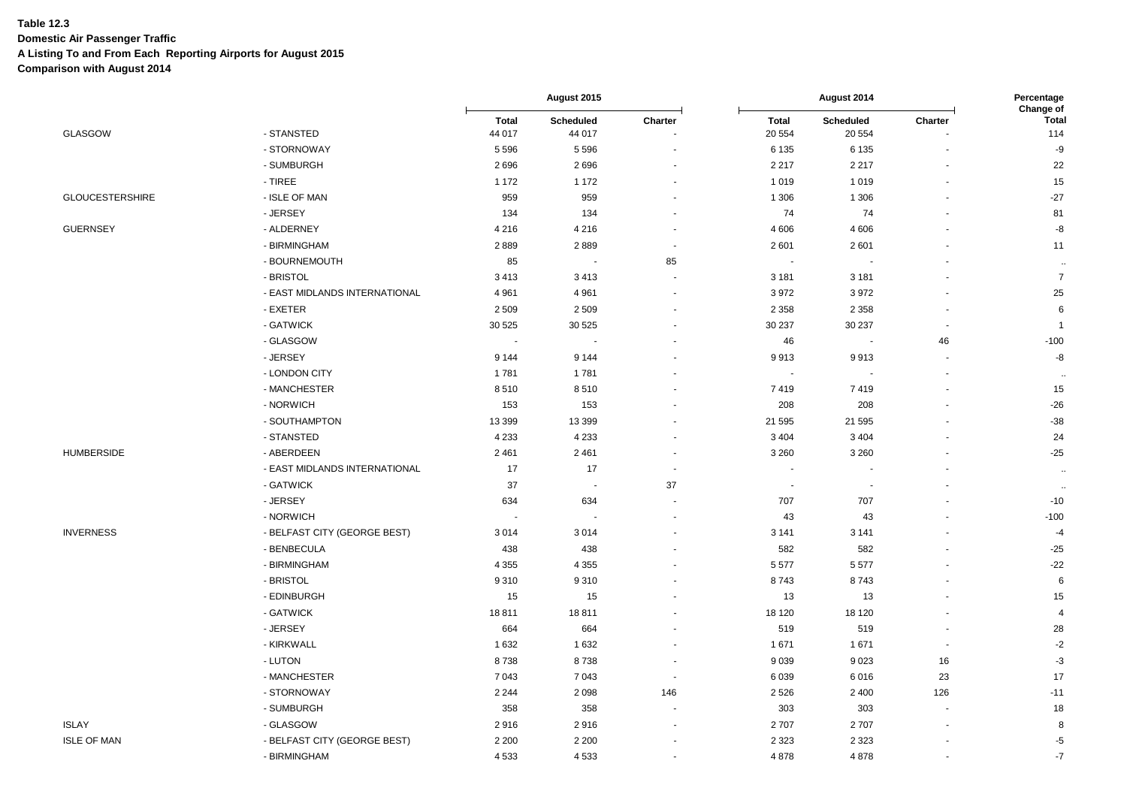**Domestic Air Passenger Traffic**

**A Listing To and From Each Reporting Airports for August 2015**

|                        |                               |                        | August 2015         |                          | August 2014              |                          | Percentage<br>Change of  |                     |
|------------------------|-------------------------------|------------------------|---------------------|--------------------------|--------------------------|--------------------------|--------------------------|---------------------|
| <b>GLASGOW</b>         | - STANSTED                    | <b>Total</b><br>44 017 | Scheduled<br>44 017 | Charter                  | <b>Total</b><br>20 554   | Scheduled<br>20 554      | Charter                  | <b>Total</b><br>114 |
|                        | - STORNOWAY                   | 5 5 9 6                | 5 5 9 6             |                          | 6 1 3 5                  | 6 1 3 5                  |                          | -9                  |
|                        | - SUMBURGH                    | 2696                   | 2696                |                          | 2 2 1 7                  | 2 2 1 7                  |                          | 22                  |
|                        | - TIREE                       | 1 1 7 2                | 1 1 7 2             | ÷.                       | 1019                     | 1019                     | $\overline{\phantom{a}}$ | 15                  |
| <b>GLOUCESTERSHIRE</b> | - ISLE OF MAN                 | 959                    | 959                 | $\sim$                   | 1 3 0 6                  | 1 3 0 6                  |                          | $-27$               |
|                        | - JERSEY                      | 134                    | 134                 |                          | 74                       | 74                       |                          | 81                  |
| <b>GUERNSEY</b>        | - ALDERNEY                    | 4 2 1 6                | 4 2 1 6             |                          | 4 6 0 6                  | 4 60 6                   |                          | -8                  |
|                        | - BIRMINGHAM                  | 2889                   | 2889                | ÷,                       | 2601                     | 2601                     |                          | 11                  |
|                        | - BOURNEMOUTH                 | 85                     |                     | 85                       | $\overline{\phantom{a}}$ |                          |                          | $\sim$              |
|                        | - BRISTOL                     | 3413                   | 3413                | $\overline{\phantom{a}}$ | 3 1 8 1                  | 3 1 8 1                  |                          | $\boldsymbol{7}$    |
|                        | - EAST MIDLANDS INTERNATIONAL | 4 9 61                 | 4 9 6 1             |                          | 3972                     | 3972                     |                          | 25                  |
|                        | - EXETER                      | 2509                   | 2 5 0 9             | ÷.                       | 2 3 5 8                  | 2 3 5 8                  | $\overline{\phantom{a}}$ | $\,6\,$             |
|                        | - GATWICK                     | 30 5 25                | 30 5 25             | $\sim$                   | 30 237                   | 30 237                   | $\overline{\phantom{a}}$ | $\mathbf{1}$        |
|                        | - GLASGOW                     |                        |                     |                          | 46                       | $\overline{\phantom{a}}$ | 46                       | $-100$              |
|                        | - JERSEY                      | 9 1 4 4                | 9 1 4 4             |                          | 9913                     | 9913                     | ÷,                       | -8                  |
|                        | - LONDON CITY                 | 1781                   | 1781                |                          | $\tilde{\phantom{a}}$    |                          | $\ddot{\phantom{1}}$     | $\ddotsc$           |
|                        | - MANCHESTER                  | 8510                   | 8510                |                          | 7419                     | 7419                     | ÷,                       | 15                  |
|                        | - NORWICH                     | 153                    | 153                 |                          | 208                      | 208                      |                          | $-26$               |
|                        | - SOUTHAMPTON                 | 13 3 9 9               | 13 399              |                          | 21 5 9 5                 | 21 595                   |                          | $-38$               |
|                        | - STANSTED                    | 4 2 3 3                | 4 2 3 3             |                          | 3 4 0 4                  | 3 4 0 4                  |                          | 24                  |
| <b>HUMBERSIDE</b>      | - ABERDEEN                    | 2461                   | 2461                | $\blacksquare$           | 3 2 6 0                  | 3 2 6 0                  | $\blacksquare$           | $-25$               |
|                        | - EAST MIDLANDS INTERNATIONAL | 17                     | 17                  | $\sim$                   | $\blacksquare$           |                          |                          | $\bullet\bullet$    |
|                        | - GATWICK                     | 37                     | $\sim$              | 37                       | $\sim$                   | $\sim$                   |                          | $\ddotsc$           |
|                        | - JERSEY                      | 634                    | 634                 | $\sim$                   | 707                      | 707                      |                          | $-10$               |
|                        | - NORWICH                     | $\sim$                 |                     | $\sim$                   | 43                       | 43                       | $\ddot{\phantom{1}}$     | $-100$              |
| <b>INVERNESS</b>       | - BELFAST CITY (GEORGE BEST)  | 3014                   | 3014                | ÷.                       | 3 1 4 1                  | 3 1 4 1                  | $\overline{\phantom{a}}$ | $-4$                |
|                        | - BENBECULA                   | 438                    | 438                 |                          | 582                      | 582                      |                          | $-25$               |
|                        | - BIRMINGHAM                  | 4 3 5 5                | 4 3 5 5             |                          | 5577                     | 5577                     |                          | $-22$               |
|                        | - BRISTOL                     | 9310                   | 9310                |                          | 8743                     | 8743                     |                          | $\,6\,$             |
|                        | - EDINBURGH                   | 15                     | 15                  |                          | 13                       | 13                       | $\overline{\phantom{a}}$ | 15                  |
|                        | - GATWICK                     | 18811                  | 18811               |                          | 18 120                   | 18 120                   |                          | $\overline{4}$      |
|                        | - JERSEY                      | 664                    | 664                 |                          | 519                      | 519                      | $\overline{\phantom{a}}$ | 28                  |
|                        | - KIRKWALL                    | 1632                   | 1 6 3 2             |                          | 1671                     | 1671                     |                          | $-2$                |
|                        | - LUTON                       | 8738                   | 8738                | ÷.                       | 9039                     | 9023                     | 16                       | $-3$                |
|                        | - MANCHESTER                  | 7043                   | 7 0 4 3             | $\overline{\phantom{a}}$ | 6039                     | 6016                     | 23                       | $17$                |
|                        | - STORNOWAY                   | 2 2 4 4                | 2 0 9 8             | 146                      | 2 5 2 6                  | 2 4 0 0                  | 126                      | $-11$               |
|                        | - SUMBURGH                    | 358                    | 358                 | $\blacksquare$           | 303                      | 303                      | $\ddot{\phantom{1}}$     | 18                  |
| <b>ISLAY</b>           | - GLASGOW                     | 2916                   | 2916                |                          | 2707                     | 2707                     | $\overline{\phantom{a}}$ | 8                   |
| <b>ISLE OF MAN</b>     | - BELFAST CITY (GEORGE BEST)  | 2 2 0 0                | 2 2 0 0             | $\sim$                   | 2 3 2 3                  | 2 3 2 3                  |                          | $-5$                |
|                        | - BIRMINGHAM                  | 4 5 3 3                | 4 5 3 3             | $\sim$                   | 4878                     | 4878                     | ÷,                       | $-7$                |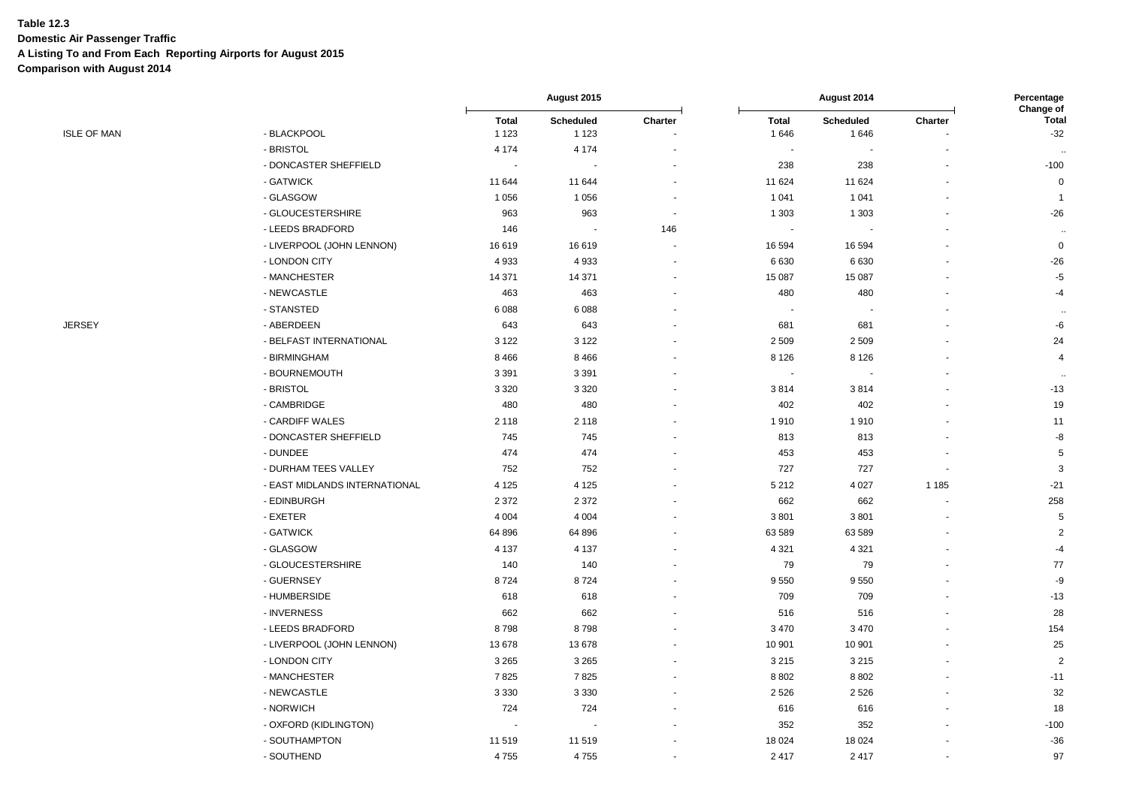**Domestic Air Passenger Traffic**

**A Listing To and From Each Reporting Airports for August 2015**

|                    |                               | August 2015              |                          | August 2014              |                      |                   | Percentage<br>Change of  |                       |
|--------------------|-------------------------------|--------------------------|--------------------------|--------------------------|----------------------|-------------------|--------------------------|-----------------------|
| <b>ISLE OF MAN</b> | - BLACKPOOL                   | <b>Total</b><br>1 1 2 3  | Scheduled<br>1 1 2 3     | Charter                  | <b>Total</b><br>1646 | Scheduled<br>1646 | Charter                  | <b>Total</b><br>$-32$ |
|                    | - BRISTOL                     | 4 1 7 4                  | 4 1 7 4                  |                          |                      |                   |                          |                       |
|                    | - DONCASTER SHEFFIELD         | $\overline{\phantom{a}}$ | $\sim$                   |                          | 238                  | 238               |                          | $-100$                |
|                    | - GATWICK                     | 11 644                   | 11 644                   |                          | 11 624               | 11 624            |                          | $\mathbf 0$           |
|                    | - GLASGOW                     | 1 0 5 6                  | 1 0 5 6                  |                          | 1 0 4 1              | 1 0 4 1           |                          | $\mathbf{1}$          |
|                    | - GLOUCESTERSHIRE             | 963                      | 963                      | $\overline{\phantom{a}}$ | 1 3 0 3              | 1 3 0 3           |                          | $-26$                 |
|                    | - LEEDS BRADFORD              | 146                      | $\overline{\phantom{a}}$ | 146                      | $\blacksquare$       |                   |                          | $\ddotsc$             |
|                    | - LIVERPOOL (JOHN LENNON)     | 16 619                   | 16619                    |                          | 16 594               | 16 5 94           |                          | $\mathbf 0$           |
|                    | - LONDON CITY                 | 4933                     | 4933                     |                          | 6630                 | 6630              |                          | $-26$                 |
|                    | - MANCHESTER                  | 14 371                   | 14 371                   |                          | 15 087               | 15 087            |                          | $-5$                  |
|                    | - NEWCASTLE                   | 463                      | 463                      |                          | 480                  | 480               |                          | $-4$                  |
|                    | - STANSTED                    | 6088                     | 6 0 8 8                  |                          |                      |                   |                          | $\ddot{\phantom{a}}$  |
| JERSEY             | - ABERDEEN                    | 643                      | 643                      |                          | 681                  | 681               |                          | -6                    |
|                    | - BELFAST INTERNATIONAL       | 3 1 2 2                  | 3 1 2 2                  |                          | 2 5 0 9              | 2 5 0 9           |                          | 24                    |
|                    | - BIRMINGHAM                  | 8 4 6 6                  | 8 4 6 6                  |                          | 8 1 2 6              | 8 1 2 6           |                          | 4                     |
|                    | - BOURNEMOUTH                 | 3 3 9 1                  | 3 3 9 1                  |                          |                      |                   |                          |                       |
|                    | - BRISTOL                     | 3 3 2 0                  | 3 3 2 0                  |                          | 3814                 | 3814              |                          | $-13$                 |
|                    | - CAMBRIDGE                   | 480                      | 480                      |                          | 402                  | 402               |                          | 19                    |
|                    | - CARDIFF WALES               | 2 1 1 8                  | 2 1 1 8                  |                          | 1910                 | 1910              |                          | 11                    |
|                    | - DONCASTER SHEFFIELD         | 745                      | 745                      |                          | 813                  | 813               |                          | -8                    |
|                    | - DUNDEE                      | 474                      | 474                      |                          | 453                  | 453               |                          | 5                     |
|                    | - DURHAM TEES VALLEY          | 752                      | 752                      |                          | 727                  | 727               | $\overline{\phantom{a}}$ | 3                     |
|                    | - EAST MIDLANDS INTERNATIONAL | 4 1 2 5                  | 4 1 2 5                  |                          | 5 2 1 2              | 4 0 27            | 1 1 8 5                  | $-21$                 |
|                    | - EDINBURGH                   | 2 3 7 2                  | 2 3 7 2                  |                          | 662                  | 662               |                          | 258                   |
|                    | - EXETER                      | 4 0 0 4                  | 4 0 0 4                  |                          | 3801                 | 3801              |                          | 5                     |
|                    | - GATWICK                     | 64 896                   | 64 896                   |                          | 63 589               | 63 589            |                          | $\sqrt{2}$            |
|                    | - GLASGOW                     | 4 1 3 7                  | 4 1 3 7                  |                          | 4 3 2 1              | 4 3 21            |                          | $-4$                  |
|                    | - GLOUCESTERSHIRE             | 140                      | 140                      |                          | 79                   | 79                |                          | 77                    |
|                    | - GUERNSEY                    | 8724                     | 8724                     |                          | 9550                 | 9550              |                          | -9                    |
|                    | - HUMBERSIDE                  | 618                      | 618                      |                          | 709                  | 709               |                          | $-13$                 |
|                    | - INVERNESS                   | 662                      | 662                      |                          | 516                  | 516               |                          | 28                    |
|                    | - LEEDS BRADFORD              | 8798                     | 8798                     |                          | 3 4 7 0              | 3 4 7 0           |                          | 154                   |
|                    | - LIVERPOOL (JOHN LENNON)     | 13 678                   | 13678                    |                          | 10 901               | 10 901            |                          | 25                    |
|                    | - LONDON CITY                 | 3 2 6 5                  | 3 2 6 5                  |                          | 3 2 1 5              | 3 2 1 5           |                          | 2                     |
|                    | - MANCHESTER                  | 7825                     | 7825                     |                          | 8802                 | 8 8 0 2           |                          | $-11$                 |
|                    | - NEWCASTLE                   | 3 3 3 0                  | 3 3 3 0                  |                          | 2526                 | 2526              |                          | 32                    |
|                    | - NORWICH                     | 724                      | 724                      |                          | 616                  | 616               |                          | 18                    |
|                    | - OXFORD (KIDLINGTON)         |                          |                          |                          | 352                  | 352               |                          | $-100$                |
|                    | - SOUTHAMPTON                 | 11 519                   | 11 519                   |                          | 18 0 24              | 18 0 24           |                          | $-36$                 |
|                    | - SOUTHEND                    | 4755                     | 4755                     | $\sim$                   | 2 4 1 7              | 2417              |                          | 97                    |
|                    |                               |                          |                          |                          |                      |                   |                          |                       |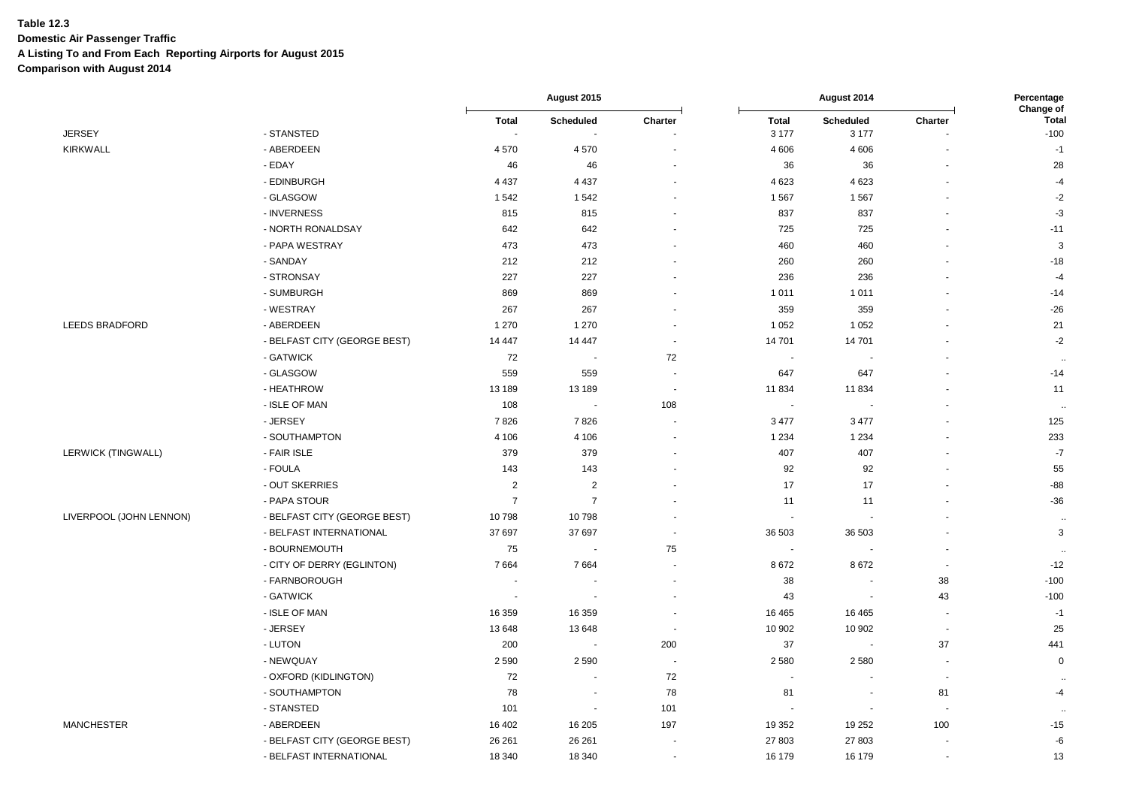# **Table 12.3 Domestic Air Passenger Traffic A Listing To and From Each Reporting Airports for August 2015 Comparison with August 2014**

|                         |                              |                | August 2015              |                          |                | August 2014              |                          | Percentage<br>Change of |
|-------------------------|------------------------------|----------------|--------------------------|--------------------------|----------------|--------------------------|--------------------------|-------------------------|
|                         |                              | Total          | Scheduled                | Charter                  | Total          | <b>Scheduled</b>         | Charter                  | <b>Total</b>            |
| <b>JERSEY</b>           | - STANSTED                   |                |                          |                          | 3 1 7 7        | 3 1 7 7                  |                          | $-100$                  |
| <b>KIRKWALL</b>         | - ABERDEEN                   | 4570           | 4570                     |                          | 4 6 0 6        | 4 6 0 6                  |                          | $-1$                    |
|                         | - EDAY                       | 46             | 46                       | $\overline{a}$           | 36             | 36                       |                          | 28                      |
|                         | - EDINBURGH                  | 4 4 3 7        | 4 4 3 7                  |                          | 4 6 23         | 4 6 23                   |                          | $-4$                    |
|                         | - GLASGOW                    | 1542           | 1542                     |                          | 1567           | 1567                     |                          | $-2$                    |
|                         | - INVERNESS                  | 815            | 815                      |                          | 837            | 837                      |                          | $-3$                    |
|                         | - NORTH RONALDSAY            | 642            | 642                      |                          | 725            | 725                      |                          | $-11$                   |
|                         | - PAPA WESTRAY               | 473            | 473                      |                          | 460            | 460                      |                          | 3                       |
|                         | - SANDAY                     | 212            | 212                      |                          | 260            | 260                      |                          | $-18$                   |
|                         | - STRONSAY                   | 227            | 227                      |                          | 236            | 236                      |                          | $-4$                    |
|                         | - SUMBURGH                   | 869            | 869                      |                          | 1011           | 1 0 1 1                  | $\overline{a}$           | $-14$                   |
|                         | - WESTRAY                    | 267            | 267                      | $\blacksquare$           | 359            | 359                      | $\ddot{\phantom{1}}$     | $-26$                   |
| LEEDS BRADFORD          | - ABERDEEN                   | 1 2 7 0        | 1 2 7 0                  | ÷,                       | 1 0 5 2        | 1 0 5 2                  | ÷.                       | 21                      |
|                         | - BELFAST CITY (GEORGE BEST) | 14 447         | 14 447                   | $\blacksquare$           | 14 701         | 14701                    |                          | $-2$                    |
|                         | - GATWICK                    | 72             |                          | 72                       |                |                          |                          | $\ddotsc$               |
|                         | - GLASGOW                    | 559            | 559                      | $\sim$                   | 647            | 647                      |                          | $-14$                   |
|                         | - HEATHROW                   | 13 189         | 13 189                   | $\sim$                   | 11 834         | 11 834                   |                          | 11                      |
|                         | - ISLE OF MAN                | 108            | $\overline{a}$           | 108                      | $\blacksquare$ | $\overline{\phantom{a}}$ |                          | $\ddotsc$               |
|                         | - JERSEY                     | 7826           | 7826                     |                          | 3 4 7 7        | 3 4 7 7                  |                          | 125                     |
|                         | - SOUTHAMPTON                | 4 1 0 6        | 4 10 6                   | $\sim$                   | 1 2 3 4        | 1 2 3 4                  | $\blacksquare$           | 233                     |
| LERWICK (TINGWALL)      | - FAIR ISLE                  | 379            | 379                      | $\sim$                   | 407            | 407                      | $\overline{a}$           | $-7$                    |
|                         | - FOULA                      | 143            | 143                      |                          | 92             | 92                       |                          | 55                      |
|                         | - OUT SKERRIES               | $\overline{2}$ | $\sqrt{2}$               |                          | 17             | 17                       |                          | $-88$                   |
|                         | - PAPA STOUR                 | $\overline{7}$ | $\overline{7}$           |                          | 11             | 11                       |                          | $-36$                   |
| LIVERPOOL (JOHN LENNON) | - BELFAST CITY (GEORGE BEST) | 10798          | 10798                    |                          | $\blacksquare$ | ÷,                       | ÷,                       | $\ddot{\phantom{a}}$    |
|                         | - BELFAST INTERNATIONAL      | 37 697         | 37 697                   | $\overline{\phantom{a}}$ | 36 503         | 36 503                   |                          | 3                       |
|                         | - BOURNEMOUTH                | 75             | $\overline{\phantom{a}}$ | 75                       | $\sim$         | $\sim$                   |                          | $\ddot{\phantom{a}}$    |
|                         | - CITY OF DERRY (EGLINTON)   | 7664           | 7664                     |                          | 8672           | 8672                     | $\overline{\phantom{a}}$ | $-12$                   |
|                         | - FARNBOROUGH                |                |                          | $\blacksquare$           | 38             | $\blacksquare$           | 38                       | $-100$                  |
|                         | - GATWICK                    |                |                          |                          | 43             | $\overline{a}$           | 43                       | $-100$                  |
|                         | - ISLE OF MAN                | 16 359         | 16 359                   | $\sim$                   | 16 4 65        | 16 4 65                  | $\overline{\phantom{a}}$ | $-1$                    |
|                         | - JERSEY                     | 13648          | 13 648                   | $\sim$                   | 10 902         | 10 902                   | $\sim$                   | 25                      |
|                         | - LUTON                      | 200            | $\overline{\phantom{a}}$ | 200                      | 37             | $\blacksquare$           | 37                       | 441                     |
|                         | - NEWQUAY                    | 2590           | 2 5 9 0                  | $\sim$                   | 2580           | 2580                     | $\tilde{\phantom{a}}$    | $\pmb{0}$               |
|                         | - OXFORD (KIDLINGTON)        | 72             |                          | 72                       |                |                          | $\overline{\phantom{a}}$ | $\ddot{\phantom{a}}$    |
|                         | - SOUTHAMPTON                | 78             | $\blacksquare$           | 78                       | 81             | $\overline{\phantom{a}}$ | 81                       | $-4$                    |
|                         | - STANSTED                   | 101            | $\overline{\phantom{a}}$ | 101                      |                | $\overline{\phantom{a}}$ |                          |                         |
| <b>MANCHESTER</b>       | - ABERDEEN                   | 16 402         | 16 205                   | 197                      | 19 352         | 19 25 2                  | 100                      | $-15$                   |
|                         | - BELFAST CITY (GEORGE BEST) | 26 261         | 26 26 1                  |                          | 27 803         | 27 803                   |                          | -6                      |
|                         | - BELFAST INTERNATIONAL      | 18 340         | 18 340                   | $\blacksquare$           | 16 179         | 16 179                   | $\blacksquare$           | 13                      |
|                         |                              |                |                          |                          |                |                          |                          |                         |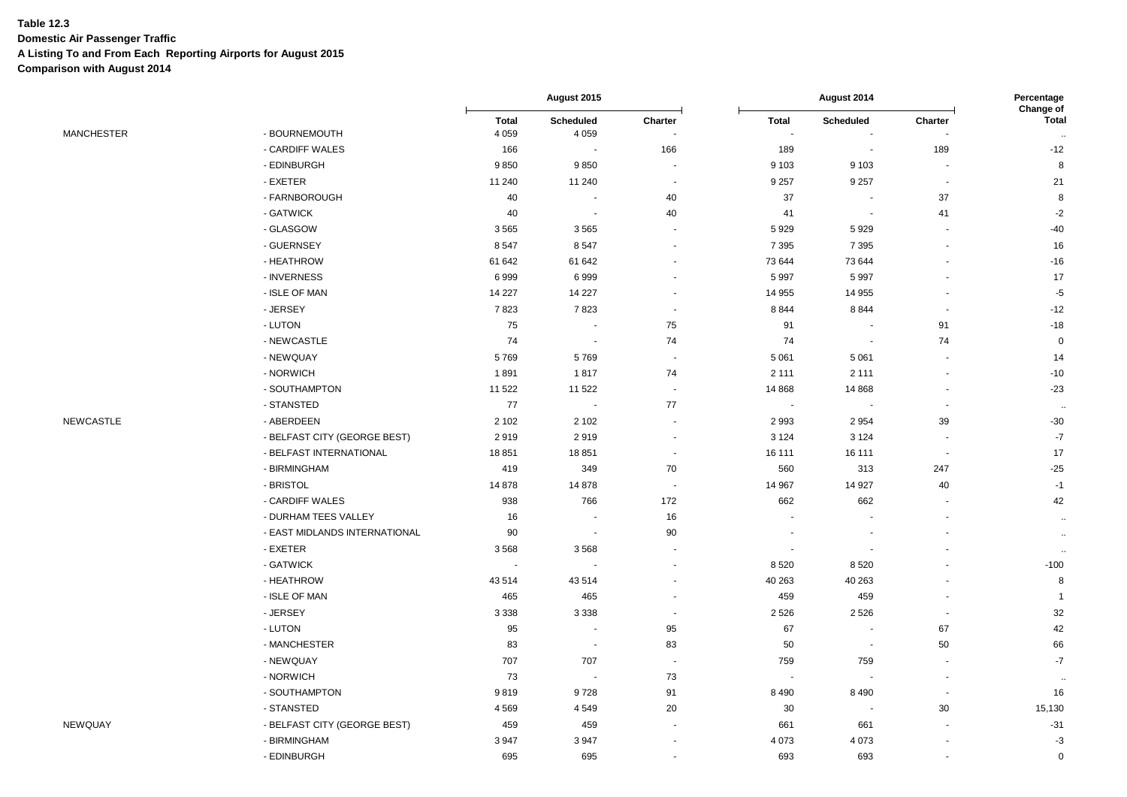**Domestic Air Passenger Traffic**

**A Listing To and From Each Reporting Airports for August 2015**

|            |                               | August 2015             |                          |                          |                          | Percentage<br>Change of  |                          |                 |
|------------|-------------------------------|-------------------------|--------------------------|--------------------------|--------------------------|--------------------------|--------------------------|-----------------|
| MANCHESTER | - BOURNEMOUTH                 | <b>Total</b><br>4 0 5 9 | Scheduled<br>4 0 5 9     | Charter                  | <b>Total</b>             | <b>Scheduled</b>         | Charter                  | <b>Total</b>    |
|            | - CARDIFF WALES               | 166                     | $\sim$                   | 166                      | 189                      | $\overline{\phantom{a}}$ | 189                      | $\sim$<br>$-12$ |
|            | - EDINBURGH                   | 9850                    | 9850                     |                          | 9 1 0 3                  | 9 1 0 3                  |                          | 8               |
|            | - EXETER                      | 11 240                  | 11 240                   | $\sim$                   | 9 2 5 7                  | 9 2 5 7                  | $\blacksquare$           | 21              |
|            | - FARNBOROUGH                 | 40                      | $\sim$                   | 40                       | 37                       |                          | 37                       | 8               |
|            | - GATWICK                     | 40                      | $\overline{\phantom{a}}$ | 40                       | 41                       | $\overline{\phantom{a}}$ | 41                       | $-2$            |
|            | - GLASGOW                     | 3565                    | 3565                     |                          | 5929                     | 5929                     |                          | $-40$           |
|            | - GUERNSEY                    | 8547                    | 8 5 4 7                  |                          | 7 3 9 5                  | 7 3 9 5                  |                          | 16              |
|            | - HEATHROW                    | 61 642                  | 61 642                   | $\sim$                   | 73 644                   | 73 644                   |                          | $-16$           |
|            | - INVERNESS                   | 6999                    | 6999                     |                          | 5997                     | 5997                     |                          | 17              |
|            | - ISLE OF MAN                 | 14 2 27                 | 14 2 27                  |                          | 14 955                   | 14 955                   |                          | $-5$            |
|            | - JERSEY                      | 7823                    | 7823                     | $\sim$                   | 8844                     | 8844                     |                          | $-12$           |
|            | - LUTON                       | 75                      | $\sim$                   | 75                       | 91                       | $\blacksquare$           | 91                       | $-18$           |
|            | - NEWCASTLE                   | 74                      | $\sim$                   | 74                       | 74                       | $\overline{\phantom{a}}$ | 74                       | $\mathbf 0$     |
|            | - NEWQUAY                     | 5769                    | 5769                     | $\sim$                   | 5 0 6 1                  | 5 0 6 1                  | $\blacksquare$           | 14              |
|            | - NORWICH                     | 1891                    | 1817                     | 74                       | 2 1 1 1                  | 2 1 1 1                  |                          | $-10$           |
|            | - SOUTHAMPTON                 | 11 522                  | 11 522                   | $\sim$                   | 14 8 68                  | 14 8 68                  |                          | $-23$           |
|            | - STANSTED                    | 77                      | $\sim$                   | 77                       |                          | $\overline{\phantom{a}}$ | $\sim$                   | $\sim$          |
| NEWCASTLE  | - ABERDEEN                    | 2 1 0 2                 | 2 1 0 2                  | $\sim$                   | 2993                     | 2 9 5 4                  | 39                       | $-30$           |
|            | - BELFAST CITY (GEORGE BEST)  | 2919                    | 2919                     |                          | 3 1 2 4                  | 3 1 2 4                  |                          | $-7$            |
|            | - BELFAST INTERNATIONAL       | 18851                   | 18851                    | $\sim$                   | 16 111                   | 16 111                   | $\blacksquare$           | 17              |
|            | - BIRMINGHAM                  | 419                     | 349                      | 70                       | 560                      | 313                      | 247                      | $-25$           |
|            | - BRISTOL                     | 14 878                  | 14 878                   | $\sim$                   | 14 967                   | 14 927                   | 40                       | $-1$            |
|            | - CARDIFF WALES               | 938                     | 766                      | 172                      | 662                      | 662                      | $\overline{\phantom{a}}$ | 42              |
|            | - DURHAM TEES VALLEY          | 16                      |                          | 16                       |                          |                          |                          | $\sim$          |
|            | - EAST MIDLANDS INTERNATIONAL | 90                      | $\sim$                   | 90                       | $\overline{\phantom{a}}$ | $\blacksquare$           |                          | $\ddotsc$       |
|            | - EXETER                      | 3568                    | 3568                     |                          |                          | $\overline{\phantom{a}}$ |                          | $\ddotsc$       |
|            | - GATWICK                     |                         | $\overline{\phantom{a}}$ |                          | 8520                     | 8520                     |                          | $-100$          |
|            | - HEATHROW                    | 43514                   | 43 514                   |                          | 40 263                   | 40 263                   |                          | 8               |
|            | - ISLE OF MAN                 | 465                     | 465                      |                          | 459                      | 459                      |                          | $\overline{1}$  |
|            | - JERSEY                      | 3 3 3 8                 | 3 3 3 8                  | $\overline{\phantom{a}}$ | 2 5 2 6                  | 2 5 2 6                  | $\overline{\phantom{a}}$ | 32              |
|            | - LUTON                       | 95                      | $\sim$                   | 95                       | 67                       | $\overline{\phantom{a}}$ | 67                       | 42              |
|            | - MANCHESTER                  | 83                      | $\sim$                   | 83                       | 50                       | $\overline{\phantom{a}}$ | 50                       | 66              |
|            | - NEWQUAY                     | 707                     | 707                      |                          | 759                      | 759                      |                          | $-7$            |
|            | - NORWICH                     | 73                      | $\sim$                   | 73                       |                          | $\overline{\phantom{a}}$ | $\overline{\phantom{a}}$ |                 |
|            | - SOUTHAMPTON                 | 9819                    | 9728                     | 91                       | 8490                     | 8 4 9 0                  | $\overline{\phantom{a}}$ | 16              |
|            | - STANSTED                    | 4569                    | 4549                     | 20                       | 30                       | $\overline{\phantom{a}}$ | 30                       | 15,130          |
| NEWQUAY    | - BELFAST CITY (GEORGE BEST)  | 459                     | 459                      |                          | 661                      | 661                      |                          | $-31$           |
|            | - BIRMINGHAM                  | 3947                    | 3 9 4 7                  |                          | 4 0 7 3                  | 4 0 7 3                  |                          | $-3$            |
|            | - EDINBURGH                   | 695                     | 695                      | $\sim$                   | 693                      | 693                      | $\sim$                   | $\mathbf 0$     |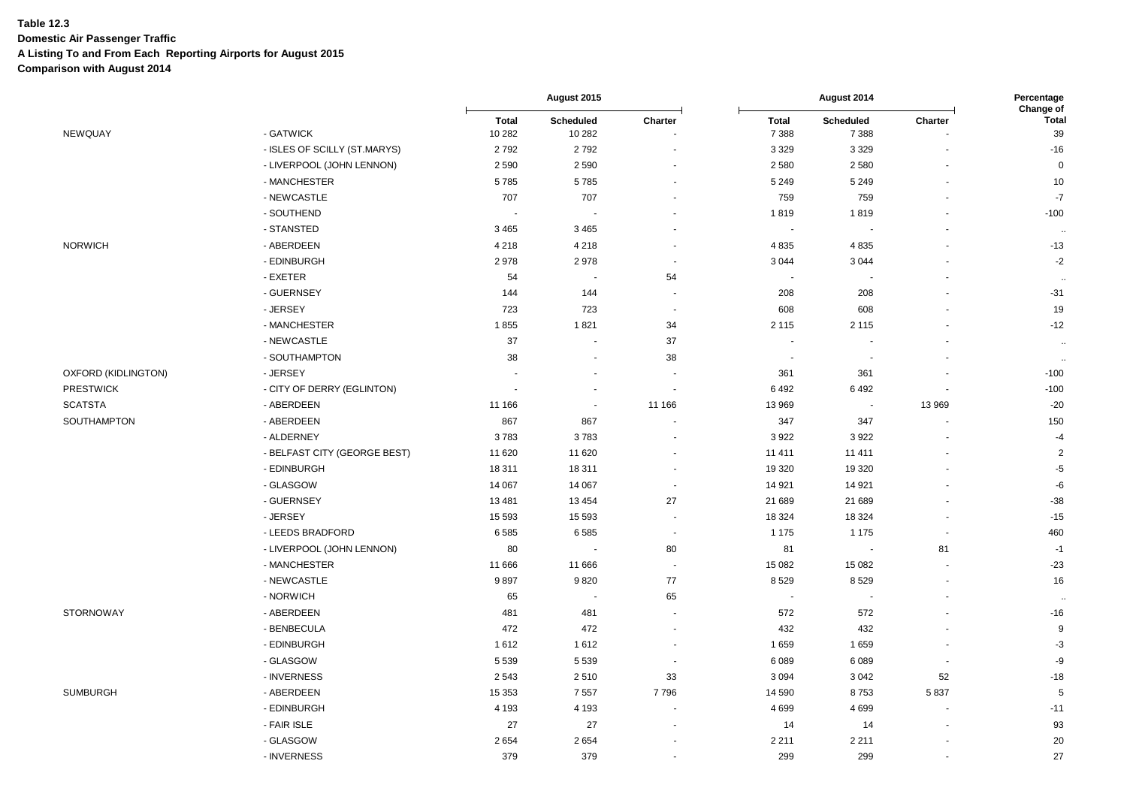**Domestic Air Passenger Traffic**

**A Listing To and From Each Reporting Airports for August 2015**

|                     |                              |                          | August 2015              | August 2014              |                |                             | Percentage               |                                 |
|---------------------|------------------------------|--------------------------|--------------------------|--------------------------|----------------|-----------------------------|--------------------------|---------------------------------|
| NEWQUAY             | - GATWICK                    | <b>Total</b><br>10 282   | Scheduled<br>10 282      | Charter                  | Total<br>7388  | <b>Scheduled</b><br>7 3 8 8 | Charter                  | Change of<br><b>Total</b><br>39 |
|                     | - ISLES OF SCILLY (ST.MARYS) | 2792                     | 2792                     |                          | 3 3 2 9        | 3 3 2 9                     | $\blacksquare$           | $-16$                           |
|                     | - LIVERPOOL (JOHN LENNON)    | 2 5 9 0                  | 2 5 9 0                  |                          | 2580           | 2 5 8 0                     |                          | $\mathbf 0$                     |
|                     | - MANCHESTER                 | 5785                     | 5785                     |                          | 5 2 4 9        | 5 2 4 9                     | ÷,                       | 10                              |
|                     | - NEWCASTLE                  | 707                      | 707                      |                          | 759            | 759                         |                          | $-7$                            |
|                     | - SOUTHEND                   | $\overline{\phantom{a}}$ |                          |                          | 1819           | 1819                        | $\sim$                   | $-100$                          |
|                     | - STANSTED                   | 3 4 6 5                  | 3 4 6 5                  |                          |                |                             |                          | $\ddotsc$                       |
| <b>NORWICH</b>      | - ABERDEEN                   | 4 2 1 8                  | 4 2 1 8                  | $\overline{a}$           | 4 8 3 5        | 4835                        | $\ddot{\phantom{1}}$     | $-13$                           |
|                     | - EDINBURGH                  | 2978                     | 2978                     | $\sim$                   | 3 0 4 4        | 3 0 4 4                     |                          | $-2$                            |
|                     | - EXETER                     | 54                       | $\overline{\phantom{a}}$ | 54                       | $\sim$         |                             | $\blacksquare$           | $\ddotsc$                       |
|                     | - GUERNSEY                   | 144                      | 144                      |                          | 208            | 208                         |                          | $-31$                           |
|                     | - JERSEY                     | 723                      | 723                      | $\overline{\phantom{a}}$ | 608            | 608                         | $\blacksquare$           | 19                              |
|                     | - MANCHESTER                 | 1855                     | 1821                     | 34                       | 2 1 1 5        | 2 1 1 5                     | $\overline{\phantom{a}}$ | $-12$                           |
|                     | - NEWCASTLE                  | 37                       | $\overline{\phantom{a}}$ | 37                       |                |                             | $\ddot{\phantom{1}}$     | $\sim$                          |
|                     | - SOUTHAMPTON                | 38                       | $\blacksquare$           | 38                       | $\sim$         |                             |                          | $\ddotsc$                       |
| OXFORD (KIDLINGTON) | - JERSEY                     |                          |                          |                          | 361            | 361                         |                          | $-100$                          |
| <b>PRESTWICK</b>    | - CITY OF DERRY (EGLINTON)   | ÷,                       | ÷,                       | $\sim$                   | 6492           | 6492                        | $\overline{\phantom{a}}$ | $-100$                          |
| <b>SCATSTA</b>      | - ABERDEEN                   | 11 166                   | $\overline{\phantom{a}}$ | 11 166                   | 13 969         | $\sim$                      | 13 969                   | $-20$                           |
| SOUTHAMPTON         | - ABERDEEN                   | 867                      | 867                      |                          | 347            | 347                         | $\overline{\phantom{a}}$ | 150                             |
|                     | - ALDERNEY                   | 3783                     | 3783                     |                          | 3922           | 3922                        |                          | $-4$                            |
|                     | - BELFAST CITY (GEORGE BEST) | 11 620                   | 11 620                   | $\overline{\phantom{a}}$ | 11 411         | 11 411                      | ÷,                       | $\sqrt{2}$                      |
|                     | - EDINBURGH                  | 18 311                   | 18 3 11                  | $\sim$                   | 19 3 20        | 19 3 20                     |                          | $-5$                            |
|                     | - GLASGOW                    | 14 067                   | 14 067                   | $\sim$                   | 14 9 21        | 14 921                      | $\blacksquare$           | $-6$                            |
|                     | - GUERNSEY                   | 13 4 8 1                 | 13 4 54                  | 27                       | 21 689         | 21 689                      |                          | $-38$                           |
|                     | - JERSEY                     | 15 5 93                  | 15 593                   | $\sim$                   | 18 3 24        | 18 3 24                     | $\sim$                   | $-15$                           |
|                     | - LEEDS BRADFORD             | 6585                     | 6 5 8 5                  | $\overline{\phantom{a}}$ | 1 1 7 5        | 1 1 7 5                     | $\blacksquare$           | 460                             |
|                     | - LIVERPOOL (JOHN LENNON)    | 80                       | $\overline{\phantom{a}}$ | 80                       | 81             | $\overline{\phantom{a}}$    | 81                       | $-1$                            |
|                     | - MANCHESTER                 | 11 666                   | 11 666                   | ÷.                       | 15 082         | 15 082                      | $\overline{a}$           | $-23$                           |
|                     | - NEWCASTLE                  | 9897                     | 9820                     | 77                       | 8529           | 8529                        | $\sim$                   | 16                              |
|                     | - NORWICH                    | 65                       | $\ddot{\phantom{0}}$     | 65                       | $\blacksquare$ |                             | $\blacksquare$           | $\sim$                          |
| <b>STORNOWAY</b>    | - ABERDEEN                   | 481                      | 481                      | $\overline{\phantom{a}}$ | 572            | 572                         | $\blacksquare$           | $-16$                           |
|                     | - BENBECULA                  | 472                      | 472                      |                          | 432            | 432                         | ä,                       | 9                               |
|                     | - EDINBURGH                  | 1612                     | 1612                     |                          | 1659           | 1659                        | $\sim$                   | $-3$                            |
|                     | - GLASGOW                    | 5 5 3 9                  | 5 5 3 9                  | $\blacksquare$           | 6089           | 6 0 8 9                     | $\overline{\phantom{a}}$ | -9                              |
|                     | - INVERNESS                  | 2 5 4 3                  | 2510                     | 33                       | 3 0 9 4        | 3 0 4 2                     | 52                       | $-18$                           |
| <b>SUMBURGH</b>     | - ABERDEEN                   | 15 353                   | 7 5 5 7                  | 7796                     | 14 590         | 8753                        | 5837                     | $5\phantom{.0}$                 |
|                     | - EDINBURGH                  | 4 1 9 3                  | 4 1 9 3                  |                          | 4699           | 4699                        |                          | $-11$                           |
|                     | - FAIR ISLE                  | 27                       | 27                       |                          | 14             | 14                          | $\sim$                   | 93                              |
|                     | - GLASGOW                    | 2654                     | 2 6 5 4                  |                          | 2 2 1 1        | 2 2 1 1                     |                          | 20                              |
|                     | - INVERNESS                  | 379                      | 379                      |                          | 299            | 299                         | $\overline{a}$           | 27                              |